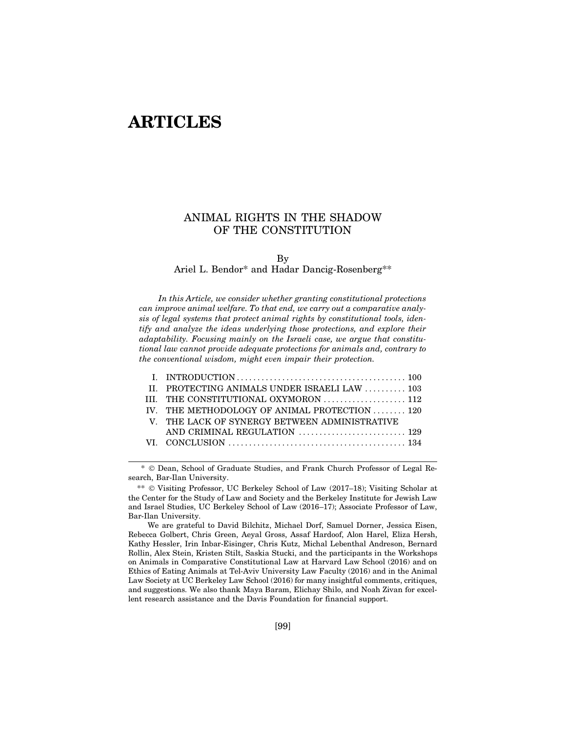# **ARTICLES**

# ANIMAL RIGHTS IN THE SHADOW OF THE CONSTITUTION

## Ariel L. Bendor\* and Hadar Dancig-Rosenberg\*\*

In this Article, we consider whether granting constitutional protections can improve animal welfare. To that end, we carry out a comparative analysis of legal systems that protect animal rights by constitutional tools, identify and analyze the ideas underlying those protections, and explore their adaptability. Focusing mainly on the Israeli case, we argue that constitutional law cannot provide adequate protections for animals and, contrary to the conventional wisdom, might even impair their protection. Ariel L. Bendor\* and Hadar Dancig-Rosenberg\*\*<br>
In this Article, we consider whether granting constitutional protections<br>
improve animal welfare. To that end, we carry out a comparative analy-<br>
of legal systems that protect In this Article, we consider whether granting constitutional protections<br>
in improve animal welfare. To that end, we carry out a comparative analy-<br>
of legal systems that protect animal rights by constitutional tools, iden In this Article, we consider whether granting constitutional protections<br>
in improve animal welfare. To that end, we carry out a comparative analy-<br>
s of legal systems that protect animal rights by constitutional tools, id

| In this Article, we consider whether granting constitutional protections      |
|-------------------------------------------------------------------------------|
| an improve animal welfare. To that end, we carry out a comparative analy-     |
| is of legal systems that protect animal rights by constitutional tools, iden- |
| fy and analyze the ideas underlying those protections, and explore their      |
| daptability. Focusing mainly on the Israeli case, we argue that constitu-     |
| onal law cannot provide adequate protections for animals and, contrary to     |
| he conventional wisdom, might even impair their protection.                   |
|                                                                               |
| PROTECTING ANIMALS UNDER ISRAELI LAW  103<br>H.                               |
|                                                                               |
| III.                                                                          |
| THE METHODOLOGY OF ANIMAL PROTECTION  120<br>IV.                              |
| THE LACK OF SYNERGY BETWEEN ADMINISTRATIVE<br>$V_{\perp}$                     |
|                                                                               |
|                                                                               |
|                                                                               |
| © Dean, School of Graduate Studies, and Frank Church Professor of Legal Re-   |
|                                                                               |

\* Dean, School of Graduate Studies, and Frank Church Professor of Legal Research, Bar-Ilan University.

\*\*  $\odot$  Visiting Professor, UC Berkeley School of Law (2017–18); Visiting Scholar at the Center for the Study of Law and Society and the Berkeley Institute for Jewish Law and Israel Studies, UC Berkeley School of Law (2016–17); Associate Professor of Law, Bar-Ilan University.

We are grateful to David Bilchitz, Michael Dorf, Samuel Dorner, Jessica Eisen, Rebecca Golbert, Chris Green, Aeyal Gross, Assaf Hardoof, Alon Harel, Eliza Hersh, Kathy Hessler, Irin Inbar-Eisinger, Chris Kutz, Michal Lebenthal Andreson, Bernard Rollin, Alex Stein, Kristen Stilt, Saskia Stucki, and the participants in the Workshops on Animals in Comparative Constitutional Law at Harvard Law School (2016) and on Ethics of Eating Animals at Tel-Aviv University Law Faculty (2016) and in the Animal Law Society at UC Berkeley Law School (2016) for many insightful comments, critiques, and suggestions. We also thank Maya Baram, Elichay Shilo, and Noah Zivan for excellent research assistance and the Davis Foundation for financial support.

By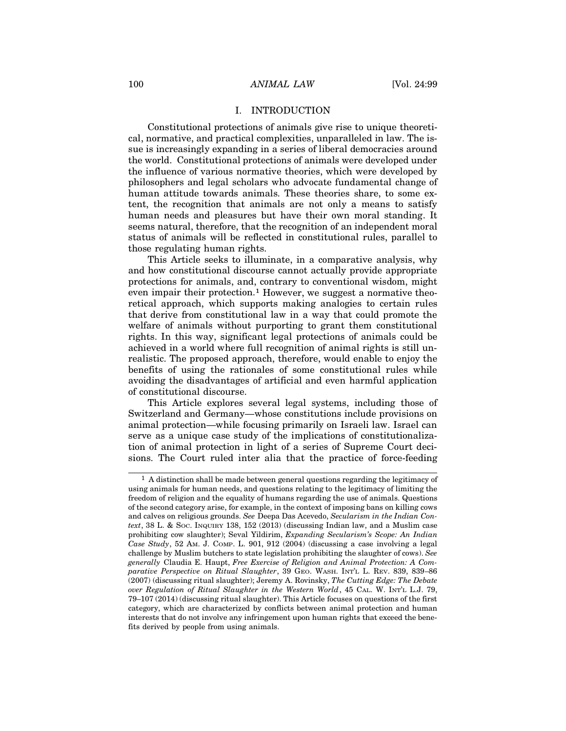# 100 ANIMAL LAW [Vol. 24:99]<br>
I. INTRODUCTION

ANIMAL LAW [Vol. 24:99]<br>
I. INTRODUCTION<br>
ections of animals give rise to unique theoreti-<br>
tical complexities, unparalleled in law. The is-Constitutional protections of animals give rise to unique theoretical, normative, and practical complexities, unparalleled in law. The issue is increasingly expanding in a series of liberal democracies around 100 MINIMAL LAW [Vol. 24:99<br>
1. INTRODUCTION<br>
1. INTRODUCTION<br>
1. Constitutional protections of animals give rise to unique theoreti-<br>
cal, normative, and practical complexities, unparalleled in law. The is-<br>
sue is increa the influence of various normative theories, which were developed by philosophers and legal scholars who advocate fundamental change of human attitude towards animals. These theories share, to some extent, the recognition that animals are not only a means to satisfy human needs and pleasures but have their own moral standing. It seems natural, therefore, that the recognition of an independent moral status of animals will be reflected in constitutional rules, parallel to those regulating human rights.

This Article seeks to illuminate, in a comparative analysis, why and how constitutional discourse cannot actually provide appropriate protections for animals, and, contrary to conventional wisdom, might even impair their protection.<sup>1</sup> However, we suggest a normative theoretical approach, which supports making analogies to certain rules that derive from constitutional law in a way that could promote the welfare of animals without purporting to grant them constitutional rights. In this way, significant legal protections of animals could be achieved in a world where full recognition of animal rights is still unrealistic. The proposed approach, therefore, would enable to enjoy the benefits of using the rationales of some constitutional rules while avoiding the disadvantages of artificial and even harmful application of constitutional discourse.

This Article explores several legal systems, including those of Switzerland and Germany—whose constitutions include provisions on animal protection—while focusing primarily on Israeli law. Israel can serve as a unique case study of the implications of constitutionalization of animal protection in light of a series of Supreme Court decisions. The Court ruled inter alia that the practice of force-feeding

<sup>1</sup> A distinction shall be made between general questions regarding the legitimacy of using animals for human needs, and questions relating to the legitimacy of limiting the freedom of religion and the equality of humans regarding the use of animals. Questions of the second category arise, for example, in the context of imposing bans on killing cows and calves on religious grounds. See Deepa Das Acevedo, Secularism in the Indian Context, 38 L. & Soc. Inquiry 138, 152 (2013) (discussing Indian law, and a Muslim case prohibiting cow slaughter); Seval Yildirim, Expanding Secularism's Scope: An Indian Case Study, 52 Am. J. Comp. L. 901, 912 (2004) (discussing a case involving a legal challenge by Muslim butchers to state legislation prohibiting the slaughter of cows). See generally Claudia E. Haupt, Free Exercise of Religion and Animal Protection: A Comparative Perspective on Ritual Slaughter, 39 GEO. WASH. INT'L L. REV. 839, 839–86 (2007) (discussing ritual slaughter); Jeremy A. Rovinsky, The Cutting Edge: The Debate over Regulation of Ritual Slaughter in the Western World, 45 CAL. W. INT'L L.J. 79, 79–107 (2014) (discussing ritual slaughter). This Article focuses on questions of the first category, which are characterized by conflicts between animal protection and human interests that do not involve any infringement upon human rights that exceed the benefits derived by people from using animals.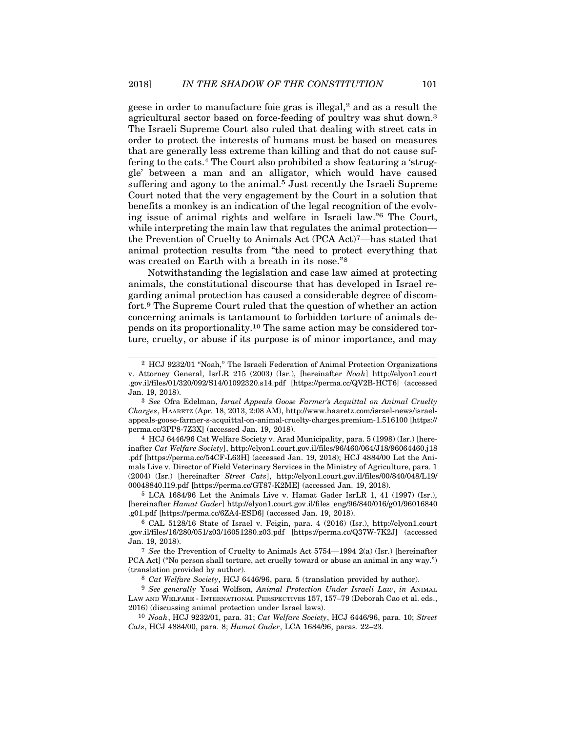geese in order to manufacture foie gras is illegal,<sup>2</sup> and as a result the agricultural sector based on force-feeding of poultry was shut down.<sup>3</sup> The Israeli Supreme Court also ruled that dealing with street cats in order to protect the interests of humans must be based on measures that are generally less extreme than killing and that do not cause suffering to the cats.<sup>4</sup> The Court also prohibited a show featuring a 'struggle' between a man and an alligator, which would have caused suffering and agony to the animal.<sup>5</sup> Just recently the Israeli Supreme Court noted that the very engagement by the Court in a solution that benefits a monkey is an indication of the legal recognition of the evolving issue of animal rights and welfare in Israeli law."6 The Court, while interpreting the main law that regulates the animal protection the Prevention of Cruelty to Animals Act (PCA Act)7—has stated that animal protection results from "the need to protect everything that was created on Earth with a breath in its nose."<sup>8</sup>

Notwithstanding the legislation and case law aimed at protecting animals, the constitutional discourse that has developed in Israel regarding animal protection has caused a considerable degree of discomfort.9 The Supreme Court ruled that the question of whether an action concerning animals is tantamount to forbidden torture of animals depends on its proportionality.10 The same action may be considered torture, cruelty, or abuse if its purpose is of minor importance, and may

4 HCJ 6446/96 Cat Welfare Society v. Arad Municipality, para. 5 (1998) (Isr.) [hereinafter Cat Welfare Society], http://elyon1.court.gov.il/files/96/460/064/J18/96064460.j18 .pdf [https://perma.cc/54CF-L63H] (accessed Jan. 19, 2018); HCJ 4884/00 Let the Animals Live v. Director of Field Veterinary Services in the Ministry of Agriculture, para. 1 (2004) (Isr.) [hereinafter Street Cats], http://elyon1.court.gov.il/files/00/840/048/L19/ 00048840.l19.pdf [https://perma.cc/GT87-K2ME] (accessed Jan. 19, 2018).

5 LCA 1684/96 Let the Animals Live v. Hamat Gader IsrLR 1, 41 (1997) (Isr.), [hereinafter Hamat Gader] http://elyon1.court.gov.il/files\_eng/96/840/016/g01/96016840 .g01.pdf [https://perma.cc/6ZA4-ESD6] (accessed Jan. 19, 2018).

<sup>9</sup> See generally Yossi Wolfson, Animal Protection Under Israeli Law, in ANIMAL LAW AND WELFARE - INTERNATIONAL PERSPECTIVES  $157$ ,  $157-79$  (Deborah Cao et al. eds., 2016) (discussing animal protection under Israel laws).

10 Noah, HCJ 9232/01, para. 31; Cat Welfare Society, HCJ 6446/96, para. 10; Street Cats, HCJ 4884/00, para. 8; Hamat Gader, LCA 1684/96, paras. 22–23.

<sup>2</sup> HCJ 9232/01 "Noah," The Israeli Federation of Animal Protection Organizations v. Attorney General, IsrLR 215 (2003) (Isr.), [hereinafter Noah] http://elyon1.court .gov.il/files/01/320/092/S14/01092320.s14.pdf [https://perma.cc/QV2B-HCT6] (accessed Jan. 19, 2018).

<sup>3</sup> See Ofra Edelman, Israel Appeals Goose Farmer's Acquittal on Animal Cruelty Charges, HAARETZ (Apr. 18, 2013, 2:08 AM), http://www.haaretz.com/israel-news/israelappeals-goose-farmer-s-acquittal-on-animal-cruelty-charges.premium-1.516100 [https:// perma.cc/3PP8-7Z3X] (accessed Jan. 19, 2018).

<sup>6</sup> CAL 5128/16 State of Israel v. Feigin, para. 4 (2016) (Isr.), http://elyon1.court .gov.il/files/16/280/051/z03/16051280.z03.pdf [https://perma.cc/Q37W-7K2J] (accessed Jan. 19, 2018).

<sup>&</sup>lt;sup>7</sup> See the Prevention of Cruelty to Animals Act  $5754-1994$  2(a) (Isr.) [hereinafter PCA Act] ("No person shall torture, act cruelly toward or abuse an animal in any way.") (translation provided by author). s Live v. Director of Field Veternary Services in the Ministry of Agriculture, para. 1<br>
48840.119.pdf [https://perma.cc/GrIs], http://elyon1.court.gov.il/files/00/840/048/L19/<br>
5 LCA 1684/96 Let the Animals Live v. Hamat G 00048840.119.pdf [https://perma.cc/G187-K2ME] (accessed Jan. 19, 2018).<br>
5 LCA 1684/96 Let the Animals Live v. Hamat Gader IsrLR 1, 41 (1997) (Isr.),<br>
[hereinafter *Hamat Gader*] http://elyon1.court.gov.il/files\_eng/96/84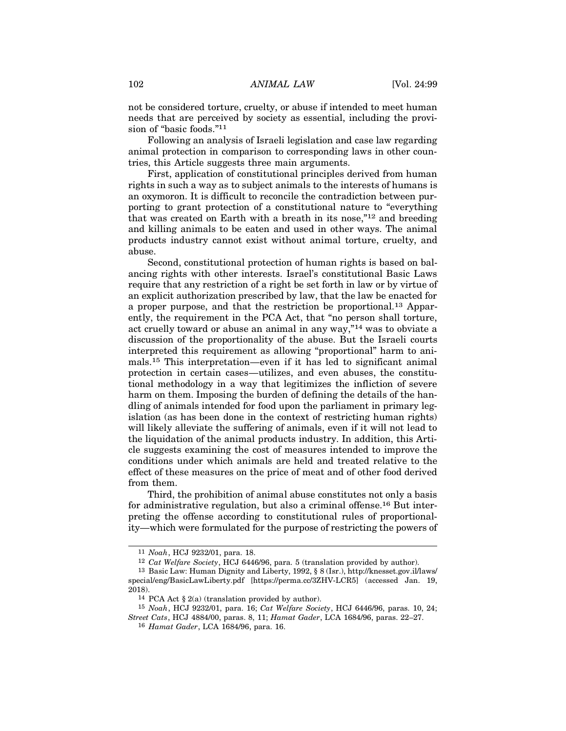102 ANIMAL LAW [Vol. 24:99]<br>
not be considered torture, cruelty, or abuse if intended to meet human<br>
needs that are persecuted by secretives essential including the provinot be considered torture, cruelty, or abuse if intended to meet human needs that are perceived by society as essential, including the provision of "basic foods."11

Following an analysis of Israeli legislation and case law regarding animal protection in comparison to corresponding laws in other countries, this Article suggests three main arguments.

First, application of constitutional principles derived from human rights in such a way as to subject animals to the interests of humans is an oxymoron. It is difficult to reconcile the contradiction between purporting to grant protection of a constitutional nature to "everything that was created on Earth with a breath in its nose,"12 and breeding and killing animals to be eaten and used in other ways. The animal products industry cannot exist without animal torture, cruelty, and abuse.

Second, constitutional protection of human rights is based on balancing rights with other interests. Israel's constitutional Basic Laws require that any restriction of a right be set forth in law or by virtue of an explicit authorization prescribed by law, that the law be enacted for a proper purpose, and that the restriction be proportional.13 Apparently, the requirement in the PCA Act, that "no person shall torture, act cruelly toward or abuse an animal in any way,"14 was to obviate a discussion of the proportionality of the abuse. But the Israeli courts interpreted this requirement as allowing "proportional" harm to animals.15 This interpretation—even if it has led to significant animal protection in certain cases—utilizes, and even abuses, the constitutional methodology in a way that legitimizes the infliction of severe harm on them. Imposing the burden of defining the details of the handling of animals intended for food upon the parliament in primary legislation (as has been done in the context of restricting human rights) will likely alleviate the suffering of animals, even if it will not lead to the liquidation of the animal products industry. In addition, this Article suggests examining the cost of measures intended to improve the conditions under which animals are held and treated relative to the effect of these measures on the price of meat and of other food derived from them.

Third, the prohibition of animal abuse constitutes not only a basis for administrative regulation, but also a criminal offense.16 But interpreting the offense according to constitutional rules of proportionality—which were formulated for the purpose of restricting the powers of nditions under which animals are held and treated relative to the<br>fect of these measures on the price of meat and of other food derived<br>om them.<br>Third, the prohibition of animal abuse constitutes not only a basis<br>r adminis Third, the prohibition of animal abuse constitute<br>
r administrative regulation, but also a criminal off<br>
eting the offense according to constitutional rules<br>
7—which were formulated for the purpose of restrict<br>
11 *Noah*,

<sup>11</sup> Noah, HCJ 9232/01, para. 18.

<sup>12</sup> Cat Welfare Society, HCJ 6446/96, para. 5 (translation provided by author).

special/eng/BasicLawLiberty.pdf [https://perma.cc/3ZHV-LCR5] (accessed Jan. 19, 2018).<br><sup>14</sup> PCA Act § 2(a) (translation provided by author).

<sup>15</sup> Noah, HCJ 9232/01, para. 16; Cat Welfare Society, HCJ 6446/96, paras. 10, 24; Street Cats, HCJ 4884/00, paras. 8, 11; Hamat Gader, LCA 1684/96, paras. 22–27.

<sup>16</sup> Hamat Gader, LCA 1684/96, para. 16.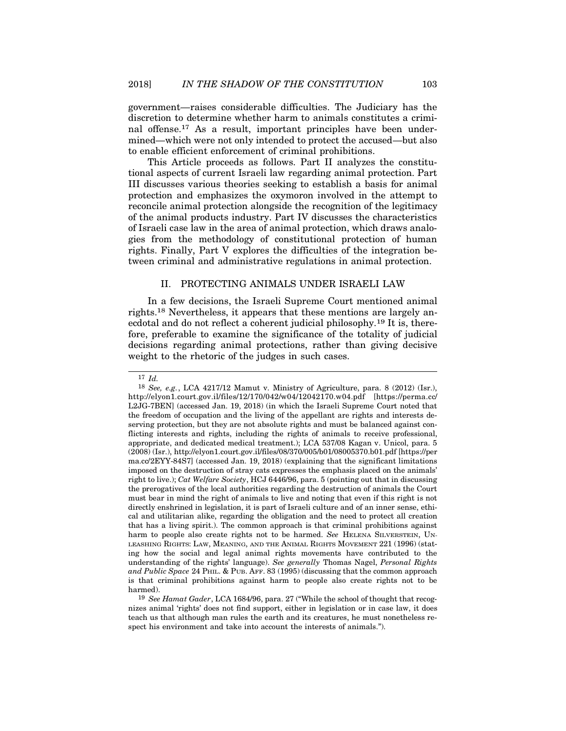government—raises considerable difficulties. The Judiciary has the discretion to determine whether harm to animals constitutes a criminal offense.17 As a result, important principles have been undermined—which were not only intended to protect the accused—but also to enable efficient enforcement of criminal prohibitions.

This Article proceeds as follows. Part II analyzes the constitutional aspects of current Israeli law regarding animal protection. Part III discusses various theories seeking to establish a basis for animal protection and emphasizes the oxymoron involved in the attempt to reconcile animal protection alongside the recognition of the legitimacy of the animal products industry. Part IV discusses the characteristics of Israeli case law in the area of animal protection, which draws analogies from the methodology of constitutional protection of human rights. Finally, Part V explores the difficulties of the integration between criminal and administrative regulations in animal protection. is spects of current Israeli law regarding animal protection. Part<br>usses various theories seeking to establish a basis for animal<br>ion and emphasizes the oxymoron involved in the attempt to<br>le animal products industry. Part

In a few decisions, the Israeli Supreme Court mentioned animal rights.18 Nevertheless, it appears that these mentions are largely anecdotal and do not reflect a coherent judicial philosophy.19 It is, therefore, preferable to examine the significance of the totality of judicial decisions regarding animal protections, rather than giving decisive weight to the rhetoric of the judges in such cases.

<sup>19</sup> See Hamat Gader, LCA 1684/96, para. 27 ("While the school of thought that recognizes animal 'rights' does not find support, either in legislation or in case law, it does teach us that although man rules the earth and its creatures, he must nonetheless respect his environment and take into account the interests of animals.").

<sup>17</sup> Id.

 $18$  See, e.g., LCA 4217/12 Mamut v. Ministry of Agriculture, para. 8 (2012) (Isr.), http://elyon1.court.gov.il/files/12/170/042/w04/12042170.w04.pdf [https://perma.cc/ L2JG-7BEN] (accessed Jan. 19, 2018) (in which the Israeli Supreme Court noted that the freedom of occupation and the living of the appellant are rights and interests deserving protection, but they are not absolute rights and must be balanced against conflicting interests and rights, including the rights of animals to receive professional, appropriate, and dedicated medical treatment.); LCA 537/08 Kagan v. Unicol, para. 5 (2008) (Isr.), http://elyon1.court.gov.il/files/08/370/005/b01/08005370.b01.pdf [https://per ma.cc/2EYY-84S7] (accessed Jan. 19, 2018) (explaining that the significant limitations imposed on the destruction of stray cats expresses the emphasis placed on the animals' right to live.); Cat Welfare Society, HCJ 6446/96, para. 5 (pointing out that in discussing the prerogatives of the local authorities regarding the destruction of animals the Court must bear in mind the right of animals to live and noting that even if this right is not directly enshrined in legislation, it is part of Israeli culture and of an inner sense, ethical and utilitarian alike, regarding the obligation and the need to protect all creation that has a living spirit.). The common approach is that criminal prohibitions against harm to people also create rights not to be harmed. See HELENA SILVERSTEIN, UNflicting interests and rights, including the rights of animals to receive professional, appropriate, and dedicated medical treatment.); LCA 537/08 Kagan v. Unicol, para. 5 (2008) (Isr.), http://elyon1.court.gov.i/f/files/ ing how the social and legal animal rights movements have contributed to the understanding of the rights' language). See generally Thomas Nagel, Personal Rights and Public Space 24 PHIL. & PUB. AFF. 83 (1995) (discussing that the common approach is that criminal prohibitions against harm to people also create rights not to be harmed).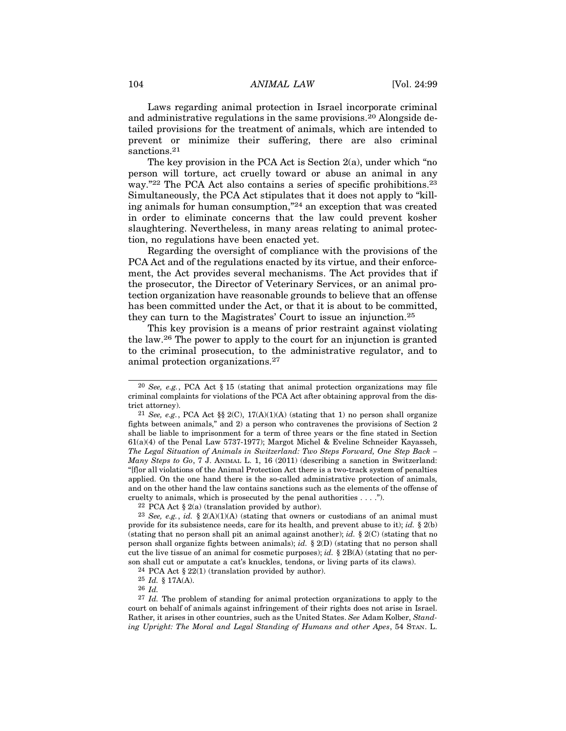104 ANIMAL LAW [Vol. 24:99]<br>
Laws regarding animal protection in Israel incorporate criminal<br>
and edministrative regulations in the same provisions 20 Alengeide de-Laws regarding animal protection in Israel incorporate criminal and administrative regulations in the same provisions.20 Alongside detailed provisions for the treatment of animals, which are intended to prevent or minimize their suffering, there are also criminal sanctions.<sup>21</sup>

The key provision in the PCA Act is Section 2(a), under which "no person will torture, act cruelly toward or abuse an animal in any way."22 The PCA Act also contains a series of specific prohibitions.23 Simultaneously, the PCA Act stipulates that it does not apply to "killing animals for human consumption,"24 an exception that was created in order to eliminate concerns that the law could prevent kosher slaughtering. Nevertheless, in many areas relating to animal protection, no regulations have been enacted yet.

Regarding the oversight of compliance with the provisions of the PCA Act and of the regulations enacted by its virtue, and their enforcement, the Act provides several mechanisms. The Act provides that if the prosecutor, the Director of Veterinary Services, or an animal protection organization have reasonable grounds to believe that an offense has been committed under the Act, or that it is about to be committed, they can turn to the Magistrates' Court to issue an injunction.<sup>25</sup> 20 See, e.g., PCA Act § 15 (stating that animal protection organization and protection organization have reasonable grounds to believe that an offense is been committed under the Act, or that it is about to be committed,

This key provision is a means of prior restraint against violating the law.26 The power to apply to the court for an injunction is granted to the criminal prosecution, to the administrative regulator, and to animal protection organizations.<sup>27</sup> 12 See, e.g., PCA Act §§ 2(C), 17(A)(1)(A) (stating that 1) no person shall organized, and we may also that it is about to issue an injunction.<sup>25</sup> This key provision is a means of prior restraint against violating e law.

criminal complaints for violations of the PCA Act after obtaining approval from the district attorney).

fights between animals," and 2) a person who contravenes the provisions of Section 2 shall be liable to imprisonment for a term of three years or the fine stated in Section 61(a)(4) of the Penal Law 5737-1977); Margot Michel & Eveline Schneider Kayasseh, The Legal Situation of Animals in Switzerland: Two Steps Forward, One Step Back – Many Steps to Go, 7 J. ANIMAL L. 1, 16 (2011) (describing a sanction in Switzerland: "[f]or all violations of the Animal Protection Act there is a two-track system of penalties applied. On the one hand there is the so-called administrative protection of animals, and on the other hand the law contains sanctions such as the elements of the offense of cruelty to animals, which is prosecuted by the penal authorities . . . ."). minal complaints for violations of the PCA Act after obtaining at attorney).<br>
<sup>21</sup> *See, e.g.*, PCA Act §§ 2(C), 17(A)(1)(A) (stating that 1) no jhts between animals," and 2) a person who contravenes the p<br>
all be liable 21 attorney).<br>
21 See, e.g., PCA Act §§ 2(C), 17(A)(1)(A) (stating that 1) no person shall organize<br>
21 See, e.g., PCA Act §§ 2(C), 17(A)(1)(A) (stating that 1) no person of Section 2<br>
all be liable to imprisonment for a <sup>21</sup> See, e.g., PCA Act §§ 2(C), 17(A)(1)(A) (stating that 1) no person shall organize fights between animals," and 2) a person who contravenes the provisions of Section 2 shall be liable to imprisonment for a term of thr fights between animals," and 2) a person who contravenes the provisions of Section 2<br>shall be liable to imprisonment for a term of three years or the fine stated in Section<br>61(a)(4) of the Penal Law 5737-1977); Margot Mic shall be liable to imprisonment for a term of three years or the fine stated in Section 61(a)(4) of the Penal Law 5737-1977); Margot Michel & Eveline Scheider Kayasseh,  $The Legendler *Regal Situation of Animals in Switzerland: Two Steps Forward, One Step Back–Many Steps to Go*, 7 J. ANIMAL L. 1, 16 (2011)$ 61(a)(4) of the Penal Law 5737-1977); Margot Michel & Eveline Schneider Kayasseh, The Legal Situation of Animals in Switzerland: Two Steps Forward, One Step Back  $-$  Many Steps in Switzerland: "[f] or all violations of th

son shall cut or amputate a cat's knuckles, tendons, or living parts of its claws). *uny Steps to Go*, 7 J. ANIMAL L. 1, 16 (2011) (describing a sanc<br>or all violations of the Animal Protection Act there is a two-tracl<br>plied. On the one hand there is the so-called administrative pi<br>d on the other hand the or all violations of the Animal Protection Act there<br>plied. On the one hand there is the so-called adn<br>d on the other hand the law contains sanctions suce<br>lty to animals, which is prosecuted by the penal<br><sup>22</sup> PCA Act § 2(

<sup>26</sup> Id.

<sup>27</sup> Id. The problem of standing for animal protection organizations to apply to the court on behalf of animals against infringement of their rights does not arise in Israel. Rather, it arises in other countries, such as the United States. See Adam Kolber, Standing Upright: The Moral and Legal Standing of Humans and other Apes, 54 STAN. L.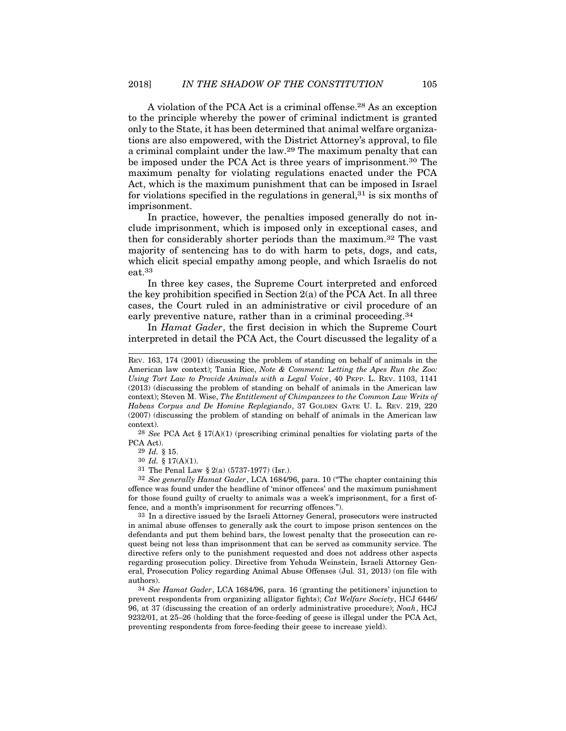A violation of the PCA Act is a criminal offense.28 As an exception to the principle whereby the power of criminal indictment is granted only to the State, it has been determined that animal welfare organizations are also empowered, with the District Attorney's approval, to file a criminal complaint under the law.29 The maximum penalty that can be imposed under the PCA Act is three years of imprisonment.30 The maximum penalty for violating regulations enacted under the PCA Act, which is the maximum punishment that can be imposed in Israel for violations specified in the regulations in general,  $31$  is six months of imprisonment.

In practice, however, the penalties imposed generally do not include imprisonment, which is imposed only in exceptional cases, and then for considerably shorter periods than the maximum.32 The vast majority of sentencing has to do with harm to pets, dogs, and cats, which elicit special empathy among people, and which Israelis do not eat.33

In three key cases, the Supreme Court interpreted and enforced the key prohibition specified in Section  $2(a)$  of the PCA Act. In all three cases, the Court ruled in an administrative or civil procedure of an early preventive nature, rather than in a criminal proceeding.<sup>34</sup>

In Hamat Gader, the first decision in which the Supreme Court interpreted in detail the PCA Act, the Court discussed the legality of a

PCA Act).<br> $^{29}$  *Id.* § 15.

32 See generally Hamat Gader, LCA 1684/96, para. 10 ("The chapter containing this offence was found under the headline of 'minor offences' and the maximum punishment for those found guilty of cruelty to animals was a week's imprisonment, for a first offence, and a month's imprisonment for recurring offences.").

33 In a directive issued by the Israeli Attorney General, prosecutors were instructed in animal abuse offenses to generally ask the court to impose prison sentences on the defendants and put them behind bars, the lowest penalty that the prosecution can request being not less than imprisonment that can be served as community service. The directive refers only to the punishment requested and does not address other aspects regarding prosecution policy. Directive from Yehuda Weinstein, Israeli Attorney General, Prosecution Policy regarding Animal Abuse Offenses (Jul. 31, 2013) (on file with authors).

34 See Hamat Gader, LCA 1684/96, para. 16 (granting the petitioners' injunction to prevent respondents from organizing alligator fights); Cat Welfare Society, HCJ 6446/ 96, at 37 (discussing the creation of an orderly administrative procedure); Noah, HCJ 9232/01, at 25–26 (holding that the force-feeding of geese is illegal under the PCA Act, preventing respondents from force-feeding their geese to increase yield).

REV. 163, 174 (2001) (discussing the problem of standing on behalf of animals in the American law context); Tania Rice, Note & Comment: Letting the Apes Run the Zoo: Using Tort Law to Provide Animals with a Legal Voice, 40 PEPP. L. REV. 1103, 1141 (2013) (discussing the problem of standing on behalf of animals in the American law context); Steven M. Wise, The Entitlement of Chimpanzees to the Common Law Writs of Habeas Corpus and De Homine Replegiando, 37 GOLDEN GATE U. L. REV. 219, 220 (2007) (discussing the problem of standing on behalf of animals in the American law context). In *Hamat Gader*, the first decision in which the Supreme Court<br>terpreted in detail the PCA Act, the Court discussed the legality of a<br>v. 163, 174 (2001) (discussing the problem of standing on behalf of animals in the<br>*in* Lerpreted in detail the PCA Act, the Counsel Correct Treferies and the problem of standarding Tort Law to Provide Animals with a Legal V (13) (discussing the problem of standing on behaltext); Steven M. Wise, *The Entitle* v. 163, 174 (2001) (discussing the problem of sta<br>nerican law context); Tania Rice, *Note & Comme*<br>ing Tort Law to Provide Animals with a Legal V<br>113) (discussing the problem of standing on behal<br>ntext); Steven M. Wise, v. 163, 174 (2001) (discussing the problem of standing on belencian law context); Tania Rice, *Note & Comment: Letting t* ing Tort Law to Provide Animals with a Legal Voice, 40 PEP 113) (discussing the problem of standing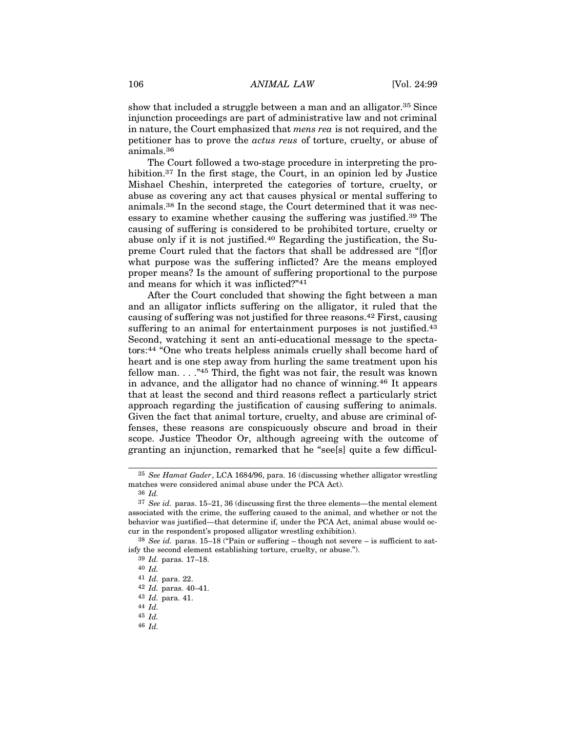106 ANIMAL LAW [Vol. 24:99]<br>
show that included a struggle between a man and an alligator.<sup>35</sup> Since<br>
injunction preceedings are next of edministrative law and not eximinal show that included a struggle between a man and an alligator.<sup>35</sup> Since injunction proceedings are part of administrative law and not criminal in nature, the Court emphasized that *mens rea* is not required, and the petitioner has to prove the actus reus of torture, cruelty, or abuse of animals.36

The Court followed a two-stage procedure in interpreting the prohibition.<sup>37</sup> In the first stage, the Court, in an opinion led by Justice Mishael Cheshin, interpreted the categories of torture, cruelty, or abuse as covering any act that causes physical or mental suffering to animals.38 In the second stage, the Court determined that it was necessary to examine whether causing the suffering was justified.39 The causing of suffering is considered to be prohibited torture, cruelty or abuse only if it is not justified.40 Regarding the justification, the Supreme Court ruled that the factors that shall be addressed are "[f]or what purpose was the suffering inflicted? Are the means employed proper means? Is the amount of suffering proportional to the purpose and means for which it was inflicted?"<sup>41</sup>

After the Court concluded that showing the fight between a man and an alligator inflicts suffering on the alligator, it ruled that the causing of suffering was not justified for three reasons.42 First, causing suffering to an animal for entertainment purposes is not justified.<sup>43</sup> Second, watching it sent an anti-educational message to the spectators:44 "One who treats helpless animals cruelly shall become hard of heart and is one step away from hurling the same treatment upon his fellow man.  $\ldots$ <sup>45</sup> Third, the fight was not fair, the result was known in advance, and the alligator had no chance of winning.46 It appears that at least the second and third reasons reflect a particularly strict approach regarding the justification of causing suffering to animals. Given the fact that animal torture, cruelty, and abuse are criminal offenses, these reasons are conspicuously obscure and broad in their scope. Justice Theodor Or, although agreeing with the outcome of granting an injunction, remarked that he "see[s] quite a few difficul-

<sup>35</sup> See Hamat Gader, LCA 1684/96, para. 16 (discussing whether alligator wrestling matches were considered animal abuse under the PCA Act).

<sup>36</sup> Id.

<sup>37</sup> See id. paras. 15–21, 36 (discussing first the three elements—the mental element associated with the crime, the suffering caused to the animal, and whether or not the behavior was justified—that determine if, under the PCA Act, animal abuse would occur in the respondent's proposed alligator wrestling exhibition).

 $38$  See id. paras.  $15-18$  ("Pain or suffering – though not severe – is sufficient to satisfy the second element establishing torture, cruelty, or abuse.").

<sup>39</sup> Id. paras. 17–18.

<sup>40</sup> Id.

<sup>41</sup> Id. para. 22.

<sup>42</sup> Id. paras. 40–41.

<sup>43</sup> Id. para. 41.

<sup>44</sup> Id.

<sup>45</sup> Id.

<sup>46</sup> Id.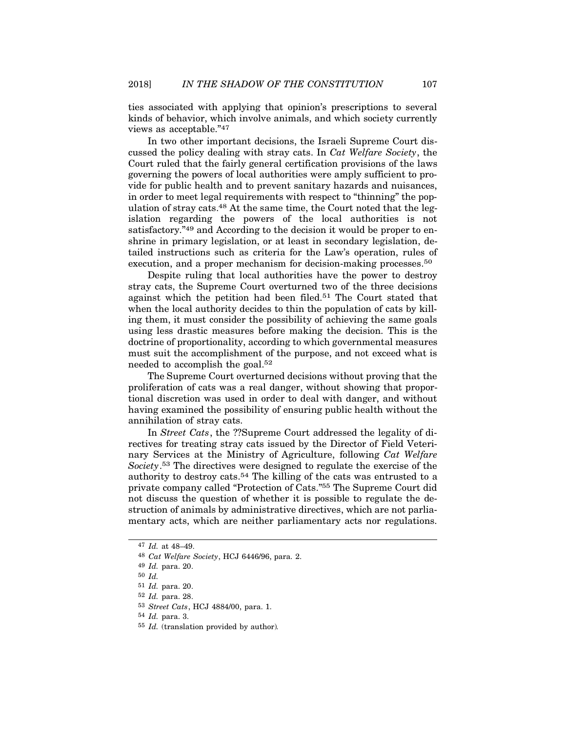ties associated with applying that opinion's prescriptions to several kinds of behavior, which involve animals, and which society currently views as acceptable."<sup>47</sup>

In two other important decisions, the Israeli Supreme Court discussed the policy dealing with stray cats. In Cat Welfare Society, the Court ruled that the fairly general certification provisions of the laws governing the powers of local authorities were amply sufficient to provide for public health and to prevent sanitary hazards and nuisances, in order to meet legal requirements with respect to "thinning" the population of stray cats.<sup>48</sup> At the same time, the Court noted that the legislation regarding the powers of the local authorities is not satisfactory.<sup>"49</sup> and According to the decision it would be proper to enshrine in primary legislation, or at least in secondary legislation, detailed instructions such as criteria for the Law's operation, rules of execution, and a proper mechanism for decision-making processes.<sup>50</sup>

Despite ruling that local authorities have the power to destroy stray cats, the Supreme Court overturned two of the three decisions against which the petition had been filed.51 The Court stated that when the local authority decides to thin the population of cats by killing them, it must consider the possibility of achieving the same goals using less drastic measures before making the decision. This is the doctrine of proportionality, according to which governmental measures must suit the accomplishment of the purpose, and not exceed what is needed to accomplish the goal.52

The Supreme Court overturned decisions without proving that the proliferation of cats was a real danger, without showing that proportional discretion was used in order to deal with danger, and without having examined the possibility of ensuring public health without the annihilation of stray cats.

In Street Cats, the ??Supreme Court addressed the legality of directives for treating stray cats issued by the Director of Field Veterinary Services at the Ministry of Agriculture, following Cat Welfare Society.53 The directives were designed to regulate the exercise of the authority to destroy cats.54 The killing of the cats was entrusted to a private company called "Protection of Cats."55 The Supreme Court did not discuss the question of whether it is possible to regulate the destruction of animals by administrative directives, which are not parliamentary acts, which are neither parliamentary acts nor regulations. t discuss the question of whether it is possible to regular<br>
ruction of animals by administrative directives, which are entary acts, which are neither parliamentary acts nor re<br>
<sup>47</sup> *Id.* at 48–49.<br>
<sup>48</sup> *Cat Welfare Soc* 

<sup>47</sup> Id. at 48–49.

<sup>48</sup> Cat Welfare Society, HCJ 6446/96, para. 2.

<sup>49</sup> Id. para. 20.

<sup>50</sup> Id.

<sup>51</sup> Id. para. 20.

<sup>52</sup> Id. para. 28.

<sup>54</sup> Id. para. 3.

<sup>55</sup> Id. (translation provided by author).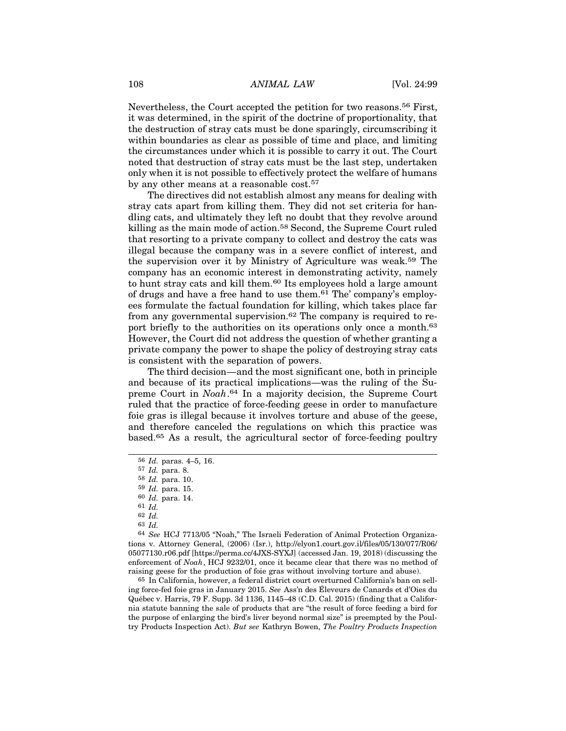108 ANIMAL LAW [Vol. 24:99]<br>Nevertheless, the Court accepted the petition for two reasons.<sup>56</sup> First,<br>it was determined in the spirit of the destrine of proportionality, that Nevertheless, the Court accepted the petition for two reasons.56 First, it was determined, in the spirit of the doctrine of proportionality, that the destruction of stray cats must be done sparingly, circumscribing it within boundaries as clear as possible of time and place, and limiting the circumstances under which it is possible to carry it out. The Court noted that destruction of stray cats must be the last step, undertaken only when it is not possible to effectively protect the welfare of humans by any other means at a reasonable cost.<sup>57</sup>

The directives did not establish almost any means for dealing with stray cats apart from killing them. They did not set criteria for handling cats, and ultimately they left no doubt that they revolve around killing as the main mode of action.<sup>58</sup> Second, the Supreme Court ruled that resorting to a private company to collect and destroy the cats was illegal because the company was in a severe conflict of interest, and the supervision over it by Ministry of Agriculture was weak.59 The company has an economic interest in demonstrating activity, namely to hunt stray cats and kill them.60 Its employees hold a large amount of drugs and have a free hand to use them.61 The' company's employees formulate the factual foundation for killing, which takes place far from any governmental supervision.<sup>62</sup> The company is required to report briefly to the authorities on its operations only once a month.<sup>63</sup> However, the Court did not address the question of whether granting a private company the power to shape the policy of destroying stray cats is consistent with the separation of powers.

The third decision—and the most significant one, both in principle and because of its practical implications—was the ruling of the Supreme Court in Noah.64 In a majority decision, the Supreme Court ruled that the practice of force-feeding geese in order to manufacture foie gras is illegal because it involves torture and abuse of the geese, and therefore canceled the regulations on which this practice was based.65 As a result, the agricultural sector of force-feeding poultry

62 Id.

63 Id.

64 See HCJ 7713/05 "Noah," The Israeli Federation of Animal Protection Organizations v. Attorney General, (2006) (Isr.), http://elyon1.court.gov.il/files/05/130/077/R06/ 05077130.r06.pdf [https://perma.cc/4JXS-SYXJ] (accessed Jan. 19, 2018) (discussing the enforcement of Noah, HCJ 9232/01, once it became clear that there was no method of raising geese for the production of foie gras without involving torture and abuse).

65 In California, however, a federal district court overturned California's ban on selling force-fed foie gras in January 2015. See Ass'n des Eleveurs de Canards et d'Oies du ´ Qu´ebec v. Harris, 79 F. Supp. 3d 1136, 1145–48 (C.D. Cal. 2015) (finding that a California statute banning the sale of products that are "the result of force feeding a bird for the purpose of enlarging the bird's liver beyond normal size" is preempted by the Poultry Products Inspection Act). But see Kathryn Bowen, The Poultry Products Inspection

<sup>56</sup> Id. paras. 4–5, 16.

<sup>57</sup> Id. para. 8.

<sup>58</sup> Id. para. 10.

<sup>59</sup> Id. para. 15.

<sup>60</sup> Id. para. 14.

<sup>61</sup> Id.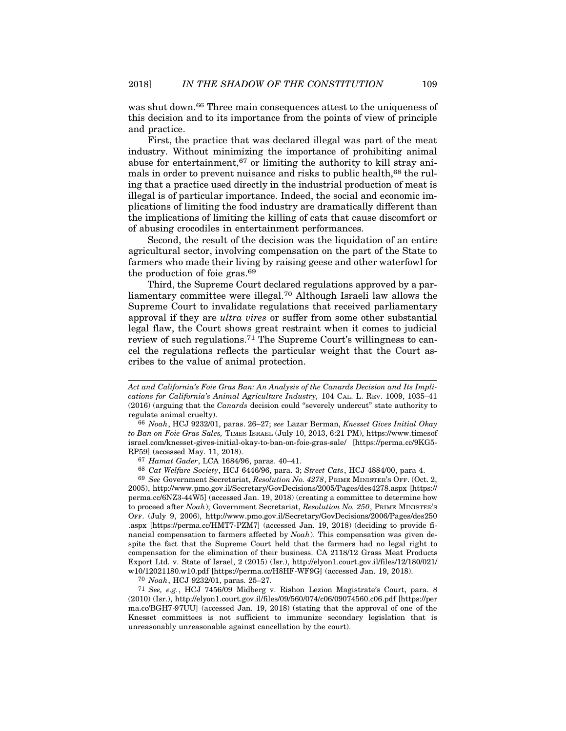was shut down.<sup>66</sup> Three main consequences attest to the uniqueness of this decision and to its importance from the points of view of principle and practice.

First, the practice that was declared illegal was part of the meat industry. Without minimizing the importance of prohibiting animal abuse for entertainment,  $67$  or limiting the authority to kill stray animals in order to prevent nuisance and risks to public health,<sup>68</sup> the ruling that a practice used directly in the industrial production of meat is illegal is of particular importance. Indeed, the social and economic implications of limiting the food industry are dramatically different than the implications of limiting the killing of cats that cause discomfort or of abusing crocodiles in entertainment performances.

Second, the result of the decision was the liquidation of an entire agricultural sector, involving compensation on the part of the State to farmers who made their living by raising geese and other waterfowl for the production of foie gras.<sup>69</sup>

Third, the Supreme Court declared regulations approved by a parliamentary committee were illegal.70 Although Israeli law allows the Supreme Court to invalidate regulations that received parliamentary approval if they are ultra vires or suffer from some other substantial legal flaw, the Court shows great restraint when it comes to judicial review of such regulations.71 The Supreme Court's willingness to cancel the regulations reflects the particular weight that the Court ascribes to the value of animal protection.

67 Hamat Gader, LCA 1684/96, paras. 40–41.

68 Cat Welfare Society, HCJ 6446/96, para. 3; Street Cats, HCJ 4884/00, para 4.

69 See Government Secretariat, Resolution No. 4278, PRIME MINISTER'S OFF. (Oct. 2, 2005), http://www.pmo.gov.il/Secretary/GovDecisions/2005/Pages/des4278.aspx [https:// perma.cc/6NZ3-44W5] (accessed Jan. 19, 2018) (creating a committee to determine how to proceed after Noah); Government Secretariat, Resolution No. 250, PRIME MINISTER'S OFF. (July 9, 2006), http://www.pmo.gov.il/Secretary/GovDecisions/2006/Pages/des250 .aspx [https://perma.cc/HMT7-PZM7] (accessed Jan. 19, 2018) (deciding to provide financial compensation to farmers affected by  $N$ oah). This compensation was given despite the fact that the Supreme Court held that the farmers had no legal right to compensation for the elimination of their business. CA 2118/12 Grass Meat Products Export Ltd. v. State of Israel, 2 (2015) (Isr.), http://elyon1.court.gov.il/files/12/180/021/ w10/12021180.w10.pdf [https://perma.cc/H8HF-WF9G] (accessed Jan. 19, 2018).

70 Noah, HCJ 9232/01, paras. 25–27.

71 See, e.g., HCJ 7456/09 Midberg v. Rishon Lezion Magistrate's Court, para. 8 (2010) (Isr.), http://elyon1.court.gov.il/files/09/560/074/c06/09074560.c06.pdf [https://per ma.cc/BGH7-97UU] (accessed Jan. 19, 2018) (stating that the approval of one of the Knesset committees is not sufficient to immunize secondary legislation that is unreasonably unreasonable against cancellation by the court).

Act and California's Foie Gras Ban: An Analysis of the Canards Decision and Its Implications for California's Animal Agriculture Industry, 104 CAL. L. REV. 1009, 1035–41 (2016) (arguing that the Canards decision could "severely undercut" state authority to regulate animal cruelty).

<sup>66</sup> Noah, HCJ 9232/01, paras. 26–27; see Lazar Berman, Knesset Gives Initial Okay to Ban on Foie Gras Sales, TIMES ISRAEL (July 10, 2013, 6:21 PM), https://www.timesof israel.com/knesset-gives-initial-okay-to-ban-on-foie-gras-sale/ [https://perma.cc/9KG5- RP59] (accessed May. 11, 2018).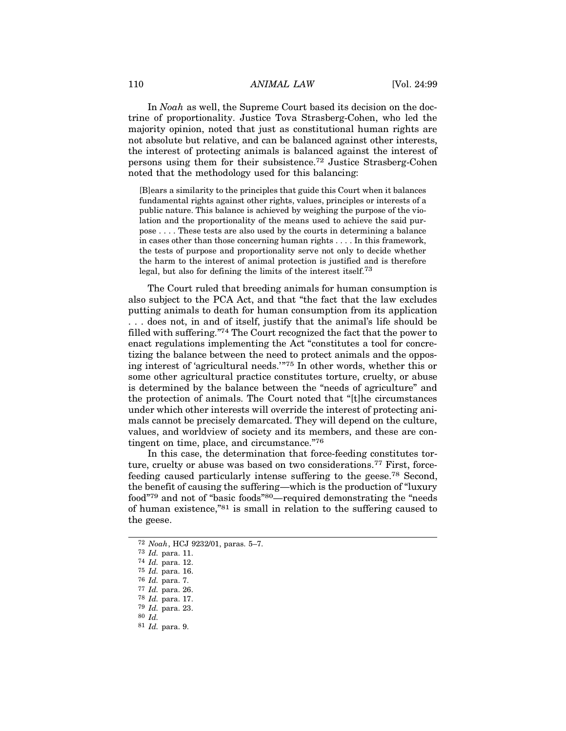110 ANIMAL LAW [Vol. 24:99]<br>In *Noah* as well, the Supreme Court based its decision on the doc-<br>tripe of proportionality, Insting Toyo Streeborg Cohen, who led the In Noah as well, the Supreme Court based its decision on the doctrine of proportionality. Justice Tova Strasberg-Cohen, who led the majority opinion, noted that just as constitutional human rights are not absolute but relative, and can be balanced against other interests, the interest of protecting animals is balanced against the interest of persons using them for their subsistence.72 Justice Strasberg-Cohen noted that the methodology used for this balancing:

[B]ears a similarity to the principles that guide this Court when it balances fundamental rights against other rights, values, principles or interests of a public nature. This balance is achieved by weighing the purpose of the violation and the proportionality of the means used to achieve the said purpose . . . . These tests are also used by the courts in determining a balance in cases other than those concerning human rights . . . . In this framework, the tests of purpose and proportionality serve not only to decide whether the harm to the interest of animal protection is justified and is therefore legal, but also for defining the limits of the interest itself.73

The Court ruled that breeding animals for human consumption is also subject to the PCA Act, and that "the fact that the law excludes putting animals to death for human consumption from its application . . . does not, in and of itself, justify that the animal's life should be filled with suffering."74 The Court recognized the fact that the power to enact regulations implementing the Act "constitutes a tool for concretizing the balance between the need to protect animals and the opposing interest of 'agricultural needs.'"75 In other words, whether this or some other agricultural practice constitutes torture, cruelty, or abuse is determined by the balance between the "needs of agriculture" and the protection of animals. The Court noted that "[t]he circumstances under which other interests will override the interest of protecting animals cannot be precisely demarcated. They will depend on the culture, values, and worldview of society and its members, and these are contingent on time, place, and circumstance."<sup>76</sup>

In this case, the determination that force-feeding constitutes torture, cruelty or abuse was based on two considerations.77 First, forcefeeding caused particularly intense suffering to the geese.78 Second, the benefit of causing the suffering—which is the production of "luxury food"79 and not of "basic foods"80—required demonstrating the "needs of human existence,"81 is small in relation to the suffering caused to the geese.

<sup>72</sup> Noah, HCJ 9232/01, paras. 5–7.

<sup>73</sup> Id. para. 11.

<sup>74</sup> Id. para. 12.

<sup>75</sup> Id. para. 16.

<sup>76</sup> Id. para. 7.

<sup>77</sup> Id. para. 26.

<sup>78</sup> Id. para. 17.

<sup>79</sup> Id. para. 23.

<sup>80</sup> Id.

<sup>81</sup> Id. para. 9.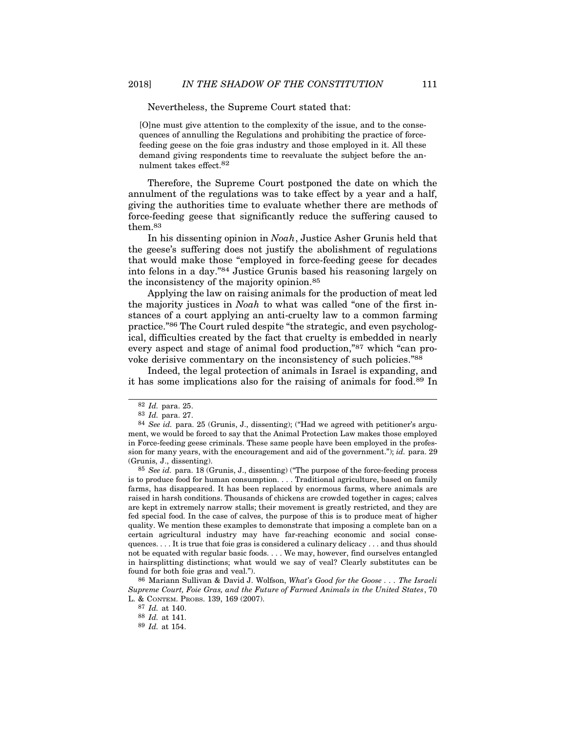Nevertheless, the Supreme Court stated that:

[O]ne must give attention to the complexity of the issue, and to the consequences of annulling the Regulations and prohibiting the practice of forcefeeding geese on the foie gras industry and those employed in it. All these demand giving respondents time to reevaluate the subject before the annulment takes effect.82

Therefore, the Supreme Court postponed the date on which the annulment of the regulations was to take effect by a year and a half, giving the authorities time to evaluate whether there are methods of force-feeding geese that significantly reduce the suffering caused to them.83

In his dissenting opinion in Noah, Justice Asher Grunis held that the geese's suffering does not justify the abolishment of regulations that would make those "employed in force-feeding geese for decades into felons in a day."84 Justice Grunis based his reasoning largely on the inconsistency of the majority opinion.85

Applying the law on raising animals for the production of meat led the majority justices in Noah to what was called "one of the first instances of a court applying an anti-cruelty law to a common farming practice."86 The Court ruled despite "the strategic, and even psychological, difficulties created by the fact that cruelty is embedded in nearly every aspect and stage of animal food production,"87 which "can provoke derisive commentary on the inconsistency of such policies."88

Indeed, the legal protection of animals in Israel is expanding, and it has some implications also for the raising of animals for food.89 In

 $85$  See id. para. 18 (Grunis, J., dissenting) ("The purpose of the force-feeding process is to produce food for human consumption. . . . Traditional agriculture, based on family farms, has disappeared. It has been replaced by enormous farms, where animals are raised in harsh conditions. Thousands of chickens are crowded together in cages; calves are kept in extremely narrow stalls; their movement is greatly restricted, and they are fed special food. In the case of calves, the purpose of this is to produce meat of higher quality. We mention these examples to demonstrate that imposing a complete ban on a certain agricultural industry may have far-reaching economic and social consequences. . . . It is true that foie gras is considered a culinary delicacy . . . and thus should not be equated with regular basic foods. . . . We may, however, find ourselves entangled in hairsplitting distinctions; what would we say of veal? Clearly substitutes can be found for both foie gras and veal.").

86 Mariann Sullivan & David J. Wolfson, What's Good for the Goose . . . The Israeli Supreme Court, Foie Gras, and the Future of Farmed Animals in the United States, 70 L. & CONTEM. PROBS. 139, 169 (2007).

<sup>82</sup> Id. para. 25.

<sup>83</sup> Id. para. 27.

<sup>84</sup> See id. para. 25 (Grunis, J., dissenting); ("Had we agreed with petitioner's argument, we would be forced to say that the Animal Protection Law makes those employed in Force-feeding geese criminals. These same people have been employed in the profession for many years, with the encouragement and aid of the government."); id. para. 29 (Grunis, J., dissenting).

<sup>87</sup> Id. at 140.

<sup>88</sup> Id. at 141.

<sup>89</sup> Id. at 154.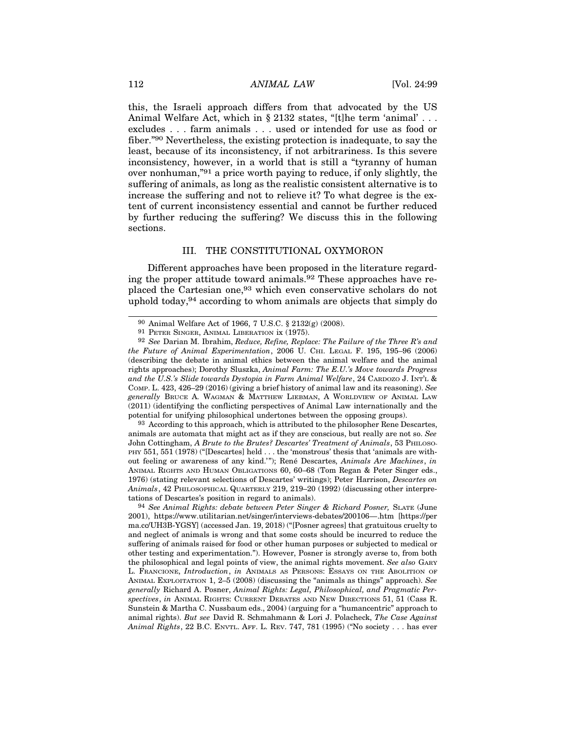112 ANIMAL LAW [Vol. 24:99]<br>
this, the Israeli approach differs from that advocated by the US<br>
Animal Walfare Act which in 8.9129 states "[tlbs tarm 'onimal'] this, the Israeli approach differs from that advocated by the US 112 **ANIMAL LAW** [Vol. 24:99<br>
this, the Israeli approach differs from that advocated by the US<br>
Animal Welfare Act, which in § 2132 states, "[t]he term 'animal' . . .<br>
excludes . . . farm animals . . . used or intended fo excludes . . . farm animals . . . used or intended for use as food or fiber."90 Nevertheless, the existing protection is inadequate, to say the least, because of its inconsistency, if not arbitrariness. Is this severe inconsistency, however, in a world that is still a "tyranny of human over nonhuman,"91 a price worth paying to reduce, if only slightly, the suffering of animals, as long as the realistic consistent alternative is to increase the suffering and not to relieve it? To what degree is the extent of current inconsistency essential and cannot be further reduced by further reducing the suffering? We discuss this in the following sections. ertheless, the existing protection is inadequate, to say the<br>se of its inconsistency, if not arbitrariness. Is this severe<br>y, however, in a world that is still a "tyranny of human<br>nan,"<sup>91</sup> a price worth paying to reduce,

Different approaches have been proposed in the literature regarding the proper attitude toward animals.<sup>92</sup> These approaches have replaced the Cartesian one,<sup>93</sup> which even conservative scholars do not uphold today,<sup>94</sup> according to whom animals are objects that simply do 1990 Animal Welfare Act of 1966, 7 U.S.C. § 2132(g) (2008).<br>
99 See Darian M. Briting, Reduce Actions, 1975).<br>
99 See Darian M. Brahm, Reduce, Refine, Replace: The Failure of the Three R's and Future of Animal Welfare Act

<sup>93</sup> According to this approach, which is attributed to the philosopher Rene Descartes, animals are automata that might act as if they are conscious, but really are not so. See John Cottingham, A Brute to the Brutes? Descartes' Treatment of Animals, 53 PHILOSO-PHY 551, 551 (1978) ("[Descartes] held . . . the 'monstrous' thesis that 'animals are without feeling or awareness of any kind.""); René Descartes, Animals Are Machines, in (describing the debate in animal ethics between the animal welfare and the animal<br>rights approaches); Dorothy Sluszka, Animal *Farm*. The *E.U.'s Move towards Progress*<br>COMP. L. 423, 426–29 (2016) (giving a brief history 1976) (stating relevant selections of Descartes' writings); Peter Harrison, Descartes on Animals, 42 PHILOSOPHICAL QUARTERLY 219, 219–20 (1992) (discussing other interpretations of Descartes's position in regard to animals).

94 See Animal Rights: debate between Peter Singer & Richard Posner, SLATE (June 2001), https://www.utilitarian.net/singer/interviews-debates/200106—.htm [https://per ma.cc/UH3B-YGSY] (accessed Jan. 19, 2018) ("[Posner agrees] that gratuitous cruelty to and neglect of animals is wrong and that some costs should be incurred to reduce the suffering of animals raised for food or other human purposes or subjected to medical or other testing and experimentation."). However, Posner is strongly averse to, from both the philosophical and legal points of view, the animal rights movement. See also GARY out feeling or awareness of any kind.""); René Descartes, *Animals Are Machines*, *in* ANIMAL Richars AND HUMAN OBLICATIONS 60, 60-68 (Tom Regan & Peter Singer eds., *Animals*, 42 PHILOSOPHICAL QUARTERLY 219, 219-20 (1992) generally Richard A. Posner, Animal Rights: Legal, Philosophical, and Pragmatic Per-Animals, 42 PHILOSOPHICAL QUARTERLY 219, 219–20 (1992) (discussing other interpre-<br>tations of Descartes's position in regard to animals).<br>
<sup>94</sup> See Animal Rights: debate between Peter Singer & Richard Posner, SLATE (June<br> Sunstein & Martha C. Nussbaum eds., 2004) (arguing for a "humancentric" approach to animal rights). But see David R. Schmahmann & Lori J. Polacheck, The Case Against Animal Rights, 22 B.C. ENVTL. AFF. L. REV. 747, 781 (1995) ("No society . . . has ever

<sup>91</sup> PETER SINGER, ANIMAL LIBERATION ix (1975).

<sup>92</sup> See Darian M. Ibrahim, Reduce, Refine, Replace: The Failure of the Three R's and the Future of Animal Experimentation, 2006 U. CHI. LEGAL F. 195, 195-96 (2006) (describing the debate in animal ethics between the animal welfare and the animal rights approaches); Dorothy Sluszka, Animal Farm: The E.U.'s Move towards Progress and the U.S.'s Slide towards Dystopia in Farm Animal Welfare, 24 CARDOZO J. INT'L & COMP. L. 423, 426–29 (2016) (giving a brief history of animal law and its reasoning). See placed the Cartesian one,<sup>93</sup> which even conservative scholars do not uphold today,<sup>94</sup> according to whom animals are objects that simply do  $^{90}$  Animal Welfare Act of 1966, 7 U.S.C. § 2132(g) (2008).<br><sup>91</sup> PETER SINGER, (2011) (identifying the conflicting perspectives of Animal Law internationally and the potential for unifying philosophical undertones between the opposing groups).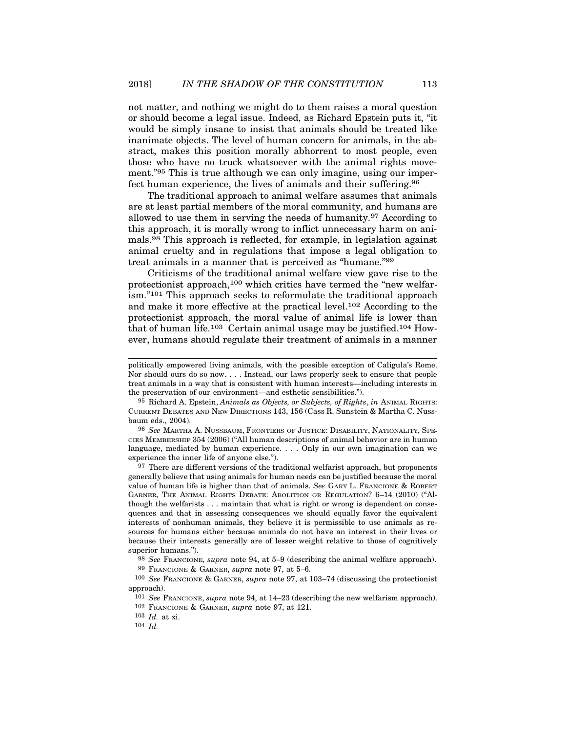not matter, and nothing we might do to them raises a moral question or should become a legal issue. Indeed, as Richard Epstein puts it, "it would be simply insane to insist that animals should be treated like inanimate objects. The level of human concern for animals, in the abstract, makes this position morally abhorrent to most people, even those who have no truck whatsoever with the animal rights movement."<sup>95</sup> This is true although we can only imagine, using our imperfect human experience, the lives of animals and their suffering.96

The traditional approach to animal welfare assumes that animals are at least partial members of the moral community, and humans are allowed to use them in serving the needs of humanity.97 According to this approach, it is morally wrong to inflict unnecessary harm on animals.98 This approach is reflected, for example, in legislation against animal cruelty and in regulations that impose a legal obligation to treat animals in a manner that is perceived as "humane."<sup>99</sup>

Criticisms of the traditional animal welfare view gave rise to the protectionist approach,100 which critics have termed the "new welfarism."101 This approach seeks to reformulate the traditional approach and make it more effective at the practical level.102 According to the protectionist approach, the moral value of animal life is lower than that of human life.103 Certain animal usage may be justified.104 However, humans should regulate their treatment of animals in a manner 96 Richard A. Epstein, Animals as Objects, or Subjects, or Subjects, in ANIMAL RIGHTS:  $^{95}$  Richard A. Epstein, Animals as Objects, or Subjects, or Rights, in ANIMAL RIGHTS: CURRENT DEBATES AND NEW DIRECTIONS 143, 156 (

protectionist approach, the moral value of animal life is lower than<br>that of human life.<sup>103</sup> Certain animal usage may be justified.<sup>104</sup> How-<br>ever, humans should regulate their treatment of animals in a manner<br>politically language, mediated by human experience. . . . Only in our own imagination can we experience the inner life of anyone else.").

<sup>97</sup> There are different versions of the traditional welfarist approach, but proponents generally believe that using animals for human needs can be justified because the moral treat animals in a way that is consistent with human interests—including interests in<br>
<sup>95</sup> Sichard A. Epstein, *Animals as Objects, or Subjects, of Rights, in ANIMAL RIGHTS:*<br>
CURRENT DEBATES AND NEW DIRECTIONS 143, 156 ( though the welfarists . . . maintain that what is right or wrong is dependent on consequences and that in assessing consequences we should equally favor the equivalent interests of nonhuman animals, they believe it is permissible to use animals as resources for humans either because animals do not have an interest in their lives or because their interests generally are of lesser weight relative to those of cognitively superior humans.").

98 See FRANCIONE, supra note 94, at 5–9 (describing the animal welfare approach).

99 FRANCIONE & GARNER, supra note 97, at 5–6.

100 See FRANCIONE & GARNER, supra note 97, at 103–74 (discussing the protectionist approach).

101 See FRANCIONE, supra note 94, at 14–23 (describing the new welfarism approach).

103 Id. at xi.

104 Id.

politically empowered living animals, with the possible exception of Caligula's Rome. Nor should ours do so now. . . . Instead, our laws properly seek to ensure that people treat animals in a way that is consistent with human interests—including interests in the preservation of our environment—and esthetic sensibilities.").

baum eds., 2004).

<sup>102</sup> FRANCIONE & GARNER, supra note 97, at 121.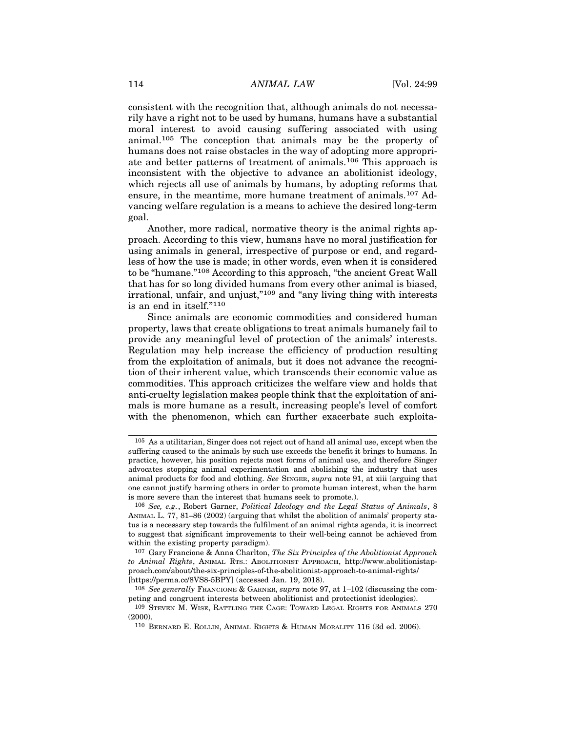114 ANIMAL LAW [Vol. 24:99]<br>
consistent with the recognition that, although animals do not necessa-<br>
with boye a wight not to be used by humans, humans have a substantial consistent with the recognition that, although animals do not necessarily have a right not to be used by humans, humans have a substantial moral interest to avoid causing suffering associated with using animal.105 The conception that animals may be the property of humans does not raise obstacles in the way of adopting more appropriate and better patterns of treatment of animals.106 This approach is inconsistent with the objective to advance an abolitionist ideology, which rejects all use of animals by humans, by adopting reforms that ensure, in the meantime, more humane treatment of animals.107 Advancing welfare regulation is a means to achieve the desired long-term goal.

Another, more radical, normative theory is the animal rights approach. According to this view, humans have no moral justification for using animals in general, irrespective of purpose or end, and regardless of how the use is made; in other words, even when it is considered to be "humane."108 According to this approach, "the ancient Great Wall that has for so long divided humans from every other animal is biased, irrational, unfair, and unjust,"109 and "any living thing with interests is an end in itself."<sup>110</sup>

Since animals are economic commodities and considered human property, laws that create obligations to treat animals humanely fail to provide any meaningful level of protection of the animals' interests. Regulation may help increase the efficiency of production resulting from the exploitation of animals, but it does not advance the recognition of their inherent value, which transcends their economic value as commodities. This approach criticizes the welfare view and holds that anti-cruelty legislation makes people think that the exploitation of animals is more humane as a result, increasing people's level of comfort with the phenomenon, which can further exacerbate such exploita-

<sup>105</sup> As a utilitarian, Singer does not reject out of hand all animal use, except when the suffering caused to the animals by such use exceeds the benefit it brings to humans. In practice, however, his position rejects most forms of animal use, and therefore Singer advocates stopping animal experimentation and abolishing the industry that uses animal products for food and clothing. See SINGER, supra note 91, at xiii (arguing that one cannot justify harming others in order to promote human interest, when the harm is more severe than the interest that humans seek to promote.).

<sup>106</sup> See, e.g., Robert Garner, Political Ideology and the Legal Status of Animals, 8 ANIMAL L. 77, 81–86 (2002) (arguing that whilst the abolition of animals' property status is a necessary step towards the fulfilment of an animal rights agenda, it is incorrect to suggest that significant improvements to their well-being cannot be achieved from within the existing property paradigm). more severe than the interest that humans seek to promote.).<br>  $106$  See, e.g., Robert Garner, Political Ideology and the Legal Status of Animals, 8<br>
NMAL, L. 77, 81–86 (2002) (arguing that whilst the abolition of animals'

<sup>107</sup> Gary Francione & Anna Charlton, The Six Principles of the Abolitionist Approach to Animal Rights, ANIMAL RTS.: ABOLITIONIST APPROACH, http://www.abolitionistapproach.com/about/the-six-principles-of-the-abolitionist-approach-to-animal-rights/ [https://perma.cc/8VS8-5BPY] (accessed Jan. 19, 2018).

<sup>&</sup>lt;sup>108</sup> See generally FRANCIONE & GARNER, supra note 97, at  $1-102$  (discussing the competing and congruent interests between abolitionist and protectionist ideologies).

<sup>(2000).</sup>

<sup>110</sup> BERNARD E. ROLLIN, ANIMAL RIGHTS & HUMAN MORALITY 116 (3d ed. 2006).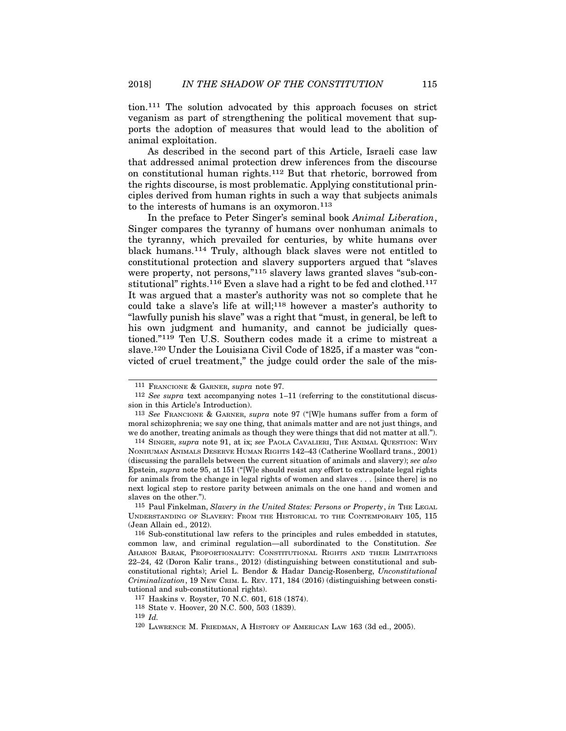tion.111 The solution advocated by this approach focuses on strict veganism as part of strengthening the political movement that supports the adoption of measures that would lead to the abolition of animal exploitation.

As described in the second part of this Article, Israeli case law that addressed animal protection drew inferences from the discourse on constitutional human rights.112 But that rhetoric, borrowed from the rights discourse, is most problematic. Applying constitutional principles derived from human rights in such a way that subjects animals to the interests of humans is an oxymoron.<sup>113</sup>

In the preface to Peter Singer's seminal book Animal Liberation, Singer compares the tyranny of humans over nonhuman animals to the tyranny, which prevailed for centuries, by white humans over black humans.114 Truly, although black slaves were not entitled to constitutional protection and slavery supporters argued that "slaves were property, not persons,"115 slavery laws granted slaves "sub-constitutional" rights.<sup>116</sup> Even a slave had a right to be fed and clothed.<sup>117</sup> It was argued that a master's authority was not so complete that he could take a slave's life at will;118 however a master's authority to "lawfully punish his slave" was a right that "must, in general, be left to his own judgment and humanity, and cannot be judicially questioned."119 Ten U.S. Southern codes made it a crime to mistreat a slave.120 Under the Louisiana Civil Code of 1825, if a master was "convicted of cruel treatment," the judge could order the sale of the mis-

118 State v. Hoover, 20 N.C. 500, 503 (1839).

119  $Id$ .

<sup>111</sup> FRANCIONE & GARNER, supra note 97.

<sup>112</sup> See supra text accompanying notes 1–11 (referring to the constitutional discussion in this Article's Introduction).

<sup>113</sup> See FRANCIONE & GARNER, supra note 97 ("[W]e humans suffer from a form of moral schizophrenia; we say one thing, that animals matter and are not just things, and we do another, treating animals as though they were things that did not matter at all.").

<sup>114</sup> SINGER, supra note 91, at ix; see PAOLA CAVALIERI, THE ANIMAL QUESTION: WHY NONHUMAN ANIMALS DESERVE HUMAN RIGHTS 142–43 (Catherine Woollard trans., 2001) (discussing the parallels between the current situation of animals and slavery); see also Epstein, supra note 95, at 151 ("[W]e should resist any effort to extrapolate legal rights for animals from the change in legal rights of women and slaves . . . [since there] is no next logical step to restore parity between animals on the one hand and women and slaves on the other."). 115 Paul Finkelman, Slavery in the United States: Persons or Property in See Francorons & Garaxera, *supra* note 97 ("[W]e humans suffer from a form of moral schickpherenia; we say one thing, that animals matter and are n <sup>114</sup> SINGER, *supra* note 91, at ix; *see* PAOLA CAVALIERI, THE ANIMAL QUESTION: WHY<br>NONHUMAN ANIMALS DESERVE HUMAN RIGHTS 142-43 (Catherine Woollard trans. 2001)<br>(discussing the parallels between the current situation o

<sup>(</sup>Jean Allain ed., 2012).

<sup>116</sup> Sub-constitutional law refers to the principles and rules embedded in statutes, common law, and criminal regulation—all subordinated to the Constitution. See 22–24, 42 (Doron Kalir trans., 2012) (distinguishing between constitutional and subconstitutional rights); Ariel L. Bendor & Hadar Dancig-Rosenberg, Unconstitutional Criminalization, 19 NEW CRIM. L. REV. 171, 184 (2016) (distinguishing between constitutional and sub-constitutional rights). NDERSTANDING OF SLAVERY: FROM THE HISTORICAL TO THE CONTEMPORARY 105, 1<br>ean Allain ed., 2012).<br>116 Sub-constitutional law refers to the principles and rules embedded in statut<br>116 Sub-constitutional law refers to the princ

<sup>117</sup> Haskins v. Royster, 70 N.C. 601, 618 (1874).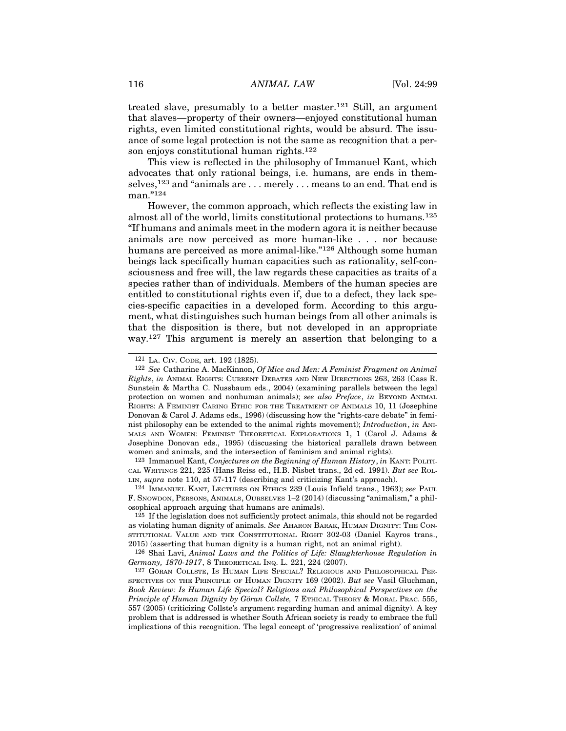116 ANIMAL LAW [Vol. 24:99]<br>treated slave, presumably to a better master.<sup>121</sup> Still, an argument<br>that clause, preparty of their europe, opieved constitutional human treated slave, presumably to a better master.<sup>121</sup> Still, an argument that slaves—property of their owners—enjoyed constitutional human rights, even limited constitutional rights, would be absurd. The issuance of some legal protection is not the same as recognition that a person enjoys constitutional human rights.<sup>122</sup>

This view is reflected in the philosophy of Immanuel Kant, which advocates that only rational beings, i.e. humans, are ends in themselves,<sup>123</sup> and "animals are ... merely ... means to an end. That end is man."124

However, the common approach, which reflects the existing law in almost all of the world, limits constitutional protections to humans.125 "If humans and animals meet in the modern agora it is neither because animals are now perceived as more human-like . . . nor because humans are perceived as more animal-like."<sup>126</sup> Although some human beings lack specifically human capacities such as rationality, self-consciousness and free will, the law regards these capacities as traits of a species rather than of individuals. Members of the human species are entitled to constitutional rights even if, due to a defect, they lack species-specific capacities in a developed form. According to this argument, what distinguishes such human beings from all other animals is that the disposition is there, but not developed in an appropriate way.127 This argument is merely an assertion that belonging to a Sciousness and free will, the law regards these capacities as traits of a<br>species rather than of individuals. Members of the human species are<br>entitled to constitutional rights even if, due to a defect, they lack spe-<br>cie

123 Immanuel Kant, Conjectures on the Beginning of Human History, in KANT: POLITI- CAL WRITINGS 221, 225 (Hans Reiss ed., H.B. Nisbet trans., 2d ed. 1991). But see ROL- LIN, supra note 110, at 57-117 (describing and criticizing Kant's approach).

F. SNOWDON, PERSONS, ANIMALS, OURSELVES 1–2 (2014) (discussing "animalism," a philosophical approach arguing that humans are animals).

125 If the legislation does not sufficiently protect animals, this should not be regarded 2015) (asserting that human dignity is a human right, not an animal right).

126 Shai Lavi, Animal Laws and the Politics of Life: Slaughterhouse Regulation in Germany, 1870-1917, 8 THEORETICAL INQ. L. 221, 224 (2007).

<sup>123</sup> Immanuel Kant, *Conjectures on the Beginning of Human History*, *in* Kant: Pol.ru<br>
CAL WHITNNG8 221, 225 (Hans Reiss ed., H.B. Nisbet trans, 2d ed. 1991). *But see RoL*<br>
LIN, *supra* note 110, at 57-117 (describing Book Review: Is Human Life Special? Religious and Philosophical Perspectives on the Principle of Human Dignity by Göran Collste, 7 ETHICAL THEORY & MORAL PRAC. 555, 557 (2005) (criticizing Collste's argument regarding human and animal dignity). A key problem that is addressed is whether South African society is ready to embrace the full implications of this recognition. The legal concept of 'progressive realization' of animal

<sup>121</sup> LA. CIV. CODE, art. 192 (1825).

<sup>122</sup> See Catharine A. MacKinnon, Of Mice and Men: A Feminist Fragment on Animal Sunstein & Martha C. Nussbaum eds., 2004) (examining parallels between the legal entitled to constitutional rights even if, due to a defect, they lack species-specific capacities in a developed form. According to this argument, what distinguishes such human beings from all other animals is that the dis Donovan & Carol J. Adams eds., 1996) (discussing how the "rights-care debate" in feminist philosophia can be extended to the animal rights movement); Interaction of the animal Rights, in Annal Rights movement A. MacKinnon,  $Of$  Mice and Men: A Feminist Fragment on Animal Rights, in Annal Rights movement & Josephine Donovan eds., 1995) (discussing the historical parallels drawn between women and animals, and the intersection of feminism and animal rights). ights, in ANIMAL RIGHTS: CURRENT DEBATES AND NEW DIRECTIONS 263, 263 (Cass R. mstein & Martha C. Nussbaum eds., 2004) (examining parallels between the legal other tore on women and nonhuman animals); see also Preface, in nist philosophy can be extended to the animal rights movement); *Introduction*, in ANI-MALS AND WoMEN: FEMINET THEORETICAL EXPILORATIONS 1, 1 (Carol J. Adams & Josephine Donovan eds., 1995) (discussing the historical paral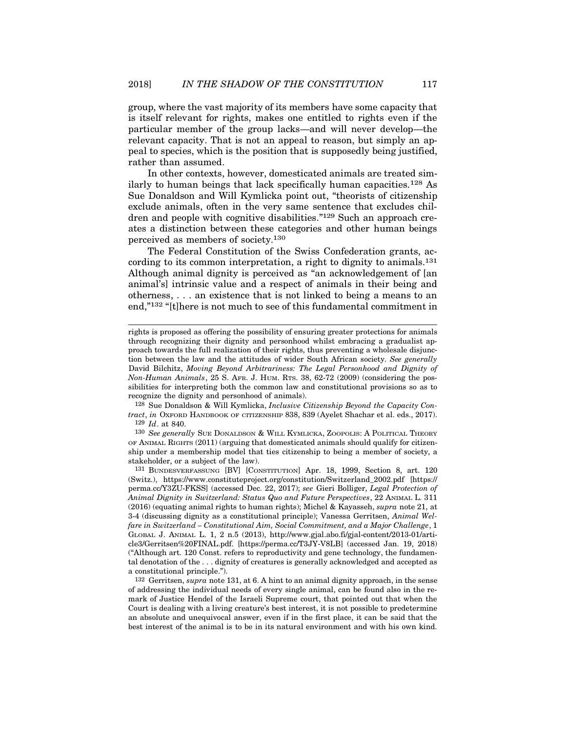group, where the vast majority of its members have some capacity that is itself relevant for rights, makes one entitled to rights even if the particular member of the group lacks—and will never develop—the relevant capacity. That is not an appeal to reason, but simply an appeal to species, which is the position that is supposedly being justified, rather than assumed.

In other contexts, however, domesticated animals are treated similarly to human beings that lack specifically human capacities.128 As Sue Donaldson and Will Kymlicka point out, "theorists of citizenship exclude animals, often in the very same sentence that excludes children and people with cognitive disabilities."129 Such an approach creates a distinction between these categories and other human beings perceived as members of society.130

The Federal Constitution of the Swiss Confederation grants, according to its common interpretation, a right to dignity to animals.131 Although animal dignity is perceived as "an acknowledgement of [an animal's] intrinsic value and a respect of animals in their being and otherness, . . . an existence that is not linked to being a means to an end,"132 "[t]here is not much to see of this fundamental commitment in

128 Sue Donaldson & Will Kymlicka, Inclusive Citizenship Beyond the Capacity Con- $129$  *Id.* at 840.

130 See generally SUE DONALDSON & WILL KYMLICKA, ZOOPOLIS: A POLITICAL THEORY OF ANIMAL RIGHTS (2011) (arguing that domesticated animals should qualify for citizenship under a membership model that ties citizenship to being a member of society, a stakeholder, or a subject of the law).

131 BUNDESVERFASSUNG [BV] [CONSTITUTION] Apr. 18, 1999, Section 8, art. 120 (Switz.), https://www.constituteproject.org/constitution/Switzerland\_2002.pdf [https:// perma.cc/Y3ZU-FKSS] (accessed Dec. 22, 2017); see Gieri Bolliger, Legal Protection of Animal Dignity in Switzerland: Status Quo and Future Perspectives, 22 ANIMAL L. 311  $(2016)$  (equating animal rights to human rights); Michel & Kayasseh, supra note 21, at 3-4 (discussing dignity as a constitutional principle); Vanessa Gerritsen, Animal Welfare in Switzerland – Constitutional Aim, Social Commitment, and a Major Challenge, 1 GLOBAL J. ANIMAL L. 1, 2 n.5 (2013), http://www.gjal.abo.fi/gjal-content/2013-01/article3/Gerritsen%20FINAL.pdf. [https://perma.cc/T3JY-V8LB] (accessed Jan. 19, 2018) ("Although art. 120 Const. refers to reproductivity and gene technology, the fundamental denotation of the . . . dignity of creatures is generally acknowledged and accepted as a constitutional principle.").

132 Gerritsen, supra note 131, at 6. A hint to an animal dignity approach, in the sense of addressing the individual needs of every single animal, can be found also in the remark of Justice Hendel of the Israeli Supreme court, that pointed out that when the Court is dealing with a living creature's best interest, it is not possible to predetermine an absolute and unequivocal answer, even if in the first place, it can be said that the best interest of the animal is to be in its natural environment and with his own kind.

rights is proposed as offering the possibility of ensuring greater protections for animals through recognizing their dignity and personhood whilst embracing a gradualist approach towards the full realization of their rights, thus preventing a wholesale disjunction between the law and the attitudes of wider South African society. See generally David Bilchitz, Moving Beyond Arbitrariness: The Legal Personhood and Dignity of Non-Human Animals, 25 S. AFR. J. HUM. RTS. 38, 62-72 (2009) (considering the possibilities for interpreting both the common law and constitutional provisions so as to recognize the dignity and personhood of animals). end,"132 "[t]here is not much to see of this fundamental commitment in<br>rights is proposed as offering the possibility of ensuring greater protections for animals<br>through recognizing their dignity and personhood whilst emb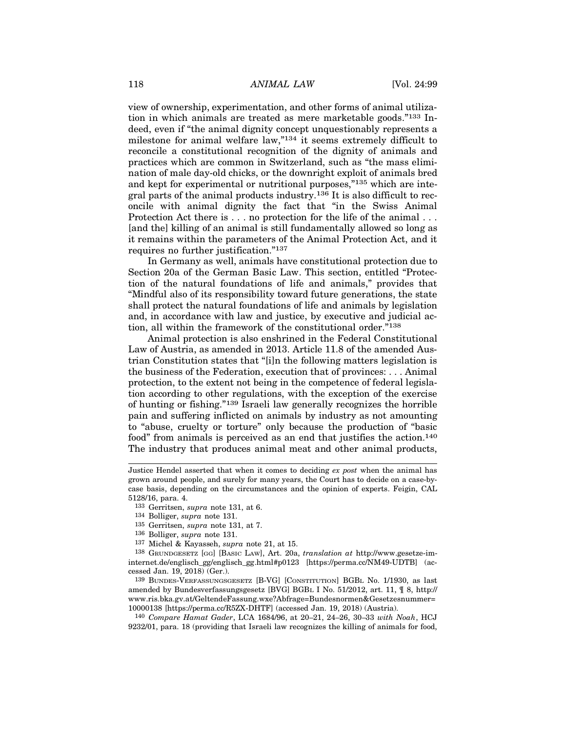118 *ANIMAL LAW* [Vol. 24:99]<br>
view of ownership, experimentation, and other forms of animal utiliza-<br>
tion in which enjmals are tracted as more monketable goods <sup>2133</sup> In view of ownership, experimentation, and other forms of animal utilization in which animals are treated as mere marketable goods."133 Indeed, even if "the animal dignity concept unquestionably represents a milestone for animal welfare law,"134 it seems extremely difficult to reconcile a constitutional recognition of the dignity of animals and practices which are common in Switzerland, such as "the mass elimination of male day-old chicks, or the downright exploit of animals bred and kept for experimental or nutritional purposes,"135 which are integral parts of the animal products industry.136 It is also difficult to reconcile with animal dignity the fact that "in the Swiss Animal Protection Act there is . . . no protection for the life of the animal . . . [and the] killing of an animal is still fundamentally allowed so long as it remains within the parameters of the Animal Protection Act, and it requires no further justification."137

In Germany as well, animals have constitutional protection due to Section 20a of the German Basic Law. This section, entitled "Protection of the natural foundations of life and animals," provides that "Mindful also of its responsibility toward future generations, the state shall protect the natural foundations of life and animals by legislation and, in accordance with law and justice, by executive and judicial action, all within the framework of the constitutional order."<sup>138</sup>

Animal protection is also enshrined in the Federal Constitutional Law of Austria, as amended in 2013. Article 11.8 of the amended Austrian Constitution states that "[i]n the following matters legislation is the business of the Federation, execution that of provinces: . . . Animal protection, to the extent not being in the competence of federal legislation according to other regulations, with the exception of the exercise of hunting or fishing."139 Israeli law generally recognizes the horrible pain and suffering inflicted on animals by industry as not amounting to "abuse, cruelty or torture" only because the production of "basic food" from animals is perceived as an end that justifies the action.<sup>140</sup> The industry that produces animal meat and other animal products,

- 134 Bolliger, supra note 131.
- 135 Gerritsen, supra note 131, at 7.
- 136 Bolliger, supra note 131.
- 137 Michel & Kayasseh, supra note 21, at 15.

138 GRUNDGESETZ [GG] [BASIC LAW], Art. 20a, translation at http://www.gesetze-iminternet.de/englisch\_gg/englisch\_gg.html#p0123 [https://perma.cc/NM49-UDTB] (accessed Jan. 19, 2018) (Ger.).

amended by Bundesverfassungsgesetz [BVG] BGBL I No. 51/2012, art. 11, ¶ 8, http:// www.ris.bka.gv.at/GeltendeFassung.wxe?Abfrage=Bundesnormen&Gesetzesnummer= 10000138 [https://perma.cc/R5ZX-DHTF] (accessed Jan. 19, 2018) (Austria).

140 Compare Hamat Gader, LCA 1684/96, at 20–21, 24–26, 30–33 with Noah, HCJ 9232/01, para. 18 (providing that Israeli law recognizes the killing of animals for food,

Justice Hendel asserted that when it comes to deciding ex post when the animal has grown around people, and surely for many years, the Court has to decide on a case-bycase basis, depending on the circumstances and the opinion of experts. Feigin, CAL 5128/16, para. 4. istice Hendel asserted that when it comes to deciding *ex post* when the animal has<br>own around people, and surely for many years, the Court has to decide on a case-by-<br>see basis, depending on the circumstances and the opi

<sup>133</sup> Gerritsen, supra note 131, at 6.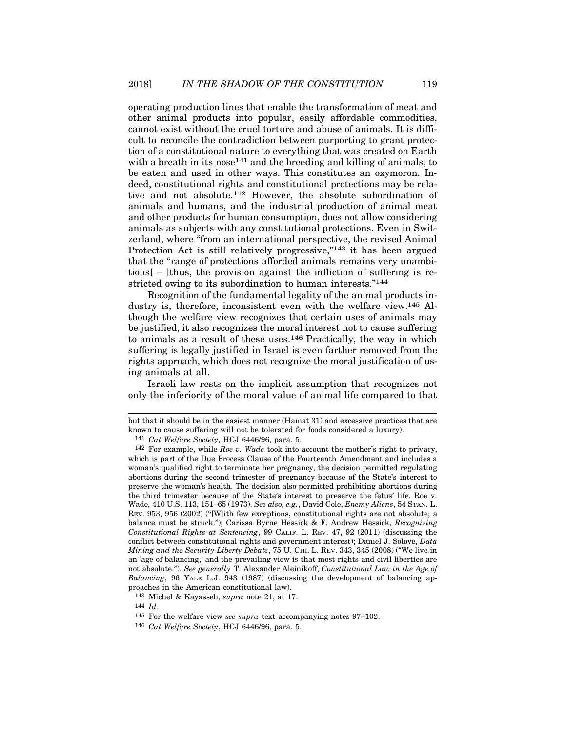operating production lines that enable the transformation of meat and other animal products into popular, easily affordable commodities, cannot exist without the cruel torture and abuse of animals. It is difficult to reconcile the contradiction between purporting to grant protection of a constitutional nature to everything that was created on Earth with a breath in its nose<sup>141</sup> and the breeding and killing of animals, to be eaten and used in other ways. This constitutes an oxymoron. Indeed, constitutional rights and constitutional protections may be relative and not absolute.142 However, the absolute subordination of animals and humans, and the industrial production of animal meat and other products for human consumption, does not allow considering animals as subjects with any constitutional protections. Even in Switzerland, where "from an international perspective, the revised Animal Protection Act is still relatively progressive,"<sup>143</sup> it has been argued that the "range of protections afforded animals remains very unambitious  $\mathcal{L}$  –  $\mathcal{L}$  –  $\mathcal{L}$  thus, the provision against the infliction of suffering is restricted owing to its subordination to human interests."<sup>144</sup>

Recognition of the fundamental legality of the animal products industry is, therefore, inconsistent even with the welfare view.145 Although the welfare view recognizes that certain uses of animals may be justified, it also recognizes the moral interest not to cause suffering to animals as a result of these uses.146 Practically, the way in which suffering is legally justified in Israel is even farther removed from the rights approach, which does not recognize the moral justification of using animals at all.

Israeli law rests on the implicit assumption that recognizes not only the inferiority of the moral value of animal life compared to that

143 Michel & Kayasseh, supra note 21, at 17.

144 Id.

145 For the welfare view see supra text accompanying notes 97–102.

146 Cat Welfare Society, HCJ 6446/96, para. 5.

but that it should be in the easiest manner (Hamat 31) and excessive practices that are known to cause suffering will not be tolerated for foods considered a luxury).

<sup>141</sup> Cat Welfare Society, HCJ 6446/96, para. 5.

<sup>&</sup>lt;sup>142</sup> For example, while *Roe v.* Wade took into account the mother's right to privacy, which is part of the Due Process Clause of the Fourteenth Amendment and includes a woman's qualified right to terminate her pregnancy, the decision permitted regulating abortions during the second trimester of pregnancy because of the State's interest to preserve the woman's health. The decision also permitted prohibiting abortions during the third trimester because of the State's interest to preserve the fetus' life. Roe v. Wade, 410 U.S. 113, 151–65 (1973). See also, e.g., David Cole, Enemy Aliens, 54 STAN. L. REV. 953, 956 (2002) ("[W]ith few exceptions, constitutional rights are not absolute; a balance must be struck."); Carissa Byrne Hessick & F. Andrew Hessick, Recognizing Constitutional Rights at Sentencing, 99 CALIF. L. REV. 47, 92 (2011) (discussing the conflict between constitutional rights and government interest); Daniel J. Solove, Data Mining and the Security-Liberty Debate, 75 U. CHI. L. REV. 343, 345 (2008) ("We live in an 'age of balancing,' and the prevailing view is that most rights and civil liberties are not absolute."). See generally T. Alexander Aleinikoff, Constitutional Law in the Age of Balancing, 96 YALE L.J. 943 (1987) (discussing the development of balancing approaches in the American constitutional law).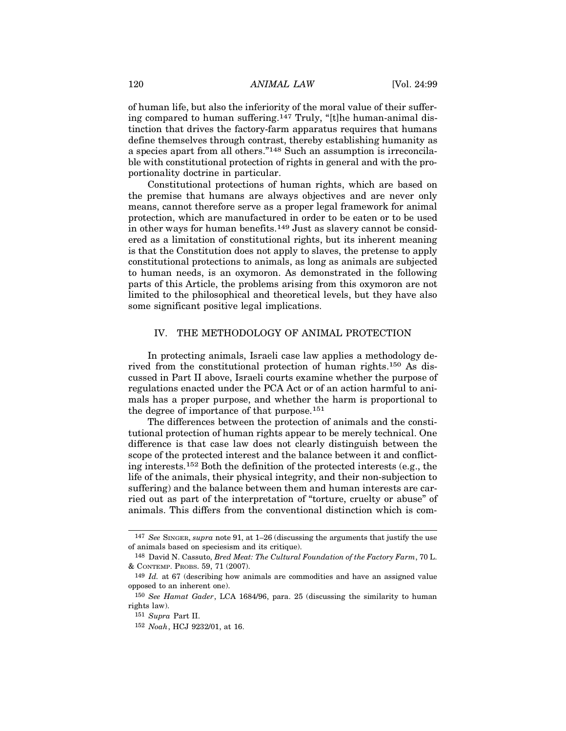120 *ANIMAL LAW* [Vol. 24:99]<br>
of human life, but also the inferiority of the moral value of their suffer-<br>
intercompany of the moral with the summan original discussed to human suffering 147 Truly, "<sup>th</sup> he human original of human life, but also the inferiority of the moral value of their suffering compared to human suffering.147 Truly, "[t]he human-animal distinction that drives the factory-farm apparatus requires that humans define themselves through contrast, thereby establishing humanity as a species apart from all others."148 Such an assumption is irreconcilable with constitutional protection of rights in general and with the proportionality doctrine in particular.

Constitutional protections of human rights, which are based on the premise that humans are always objectives and are never only means, cannot therefore serve as a proper legal framework for animal protection, which are manufactured in order to be eaten or to be used in other ways for human benefits.149 Just as slavery cannot be considered as a limitation of constitutional rights, but its inherent meaning is that the Constitution does not apply to slaves, the pretense to apply constitutional protections to animals, as long as animals are subjected to human needs, is an oxymoron. As demonstrated in the following parts of this Article, the problems arising from this oxymoron are not limited to the philosophical and theoretical levels, but they have also some significant positive legal implications. For which are manufactured in order to be a decayed on the consideration, when the main benefits, 149 Just as slavery cannot be considered in the Constitution does not apply to slaves, the pretense to apply tutional prote

In protecting animals, Israeli case law applies a methodology derived from the constitutional protection of human rights.150 As discussed in Part II above, Israeli courts examine whether the purpose of regulations enacted under the PCA Act or of an action harmful to animals has a proper purpose, and whether the harm is proportional to the degree of importance of that purpose.<sup>151</sup>

The differences between the protection of animals and the constitutional protection of human rights appear to be merely technical. One difference is that case law does not clearly distinguish between the scope of the protected interest and the balance between it and conflicting interests.152 Both the definition of the protected interests (e.g., the life of the animals, their physical integrity, and their non-subjection to suffering) and the balance between them and human interests are carried out as part of the interpretation of "torture, cruelty or abuse" of animals. This differs from the conventional distinction which is com-

<sup>147</sup> See SINGER, supra note 91, at 1–26 (discussing the arguments that justify the use of animals based on speciesism and its critique).

<sup>148</sup> David N. Cassuto, Bred Meat: The Cultural Foundation of the Factory Farm, 70 L. & CONTEMP. PROBS. 59, 71 (2007).

<sup>149</sup> Id. at 67 (describing how animals are commodities and have an assigned value opposed to an inherent one).

<sup>150</sup> See Hamat Gader, LCA 1684/96, para. 25 (discussing the similarity to human rights law).

<sup>151</sup> Supra Part II.

<sup>152</sup> Noah, HCJ 9232/01, at 16.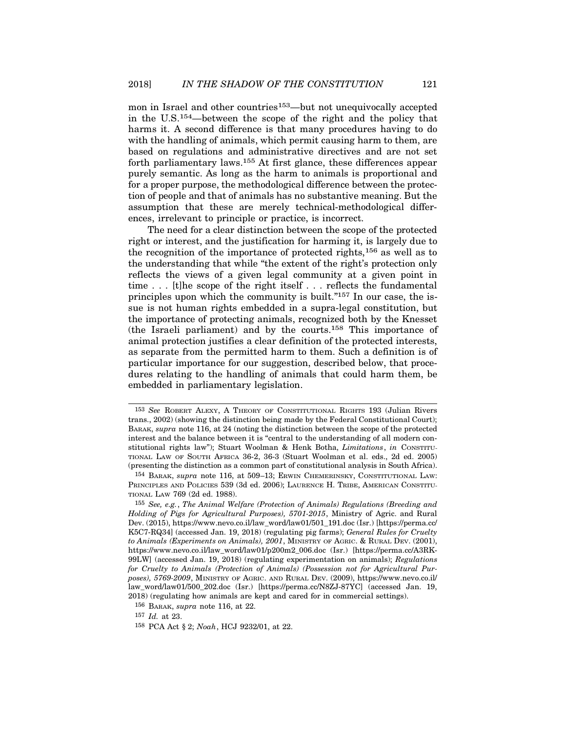mon in Israel and other countries<sup>153</sup>—but not unequivocally accepted in the U.S.154—between the scope of the right and the policy that harms it. A second difference is that many procedures having to do with the handling of animals, which permit causing harm to them, are based on regulations and administrative directives and are not set forth parliamentary laws.155 At first glance, these differences appear purely semantic. As long as the harm to animals is proportional and for a proper purpose, the methodological difference between the protection of people and that of animals has no substantive meaning. But the assumption that these are merely technical-methodological differences, irrelevant to principle or practice, is incorrect.

The need for a clear distinction between the scope of the protected right or interest, and the justification for harming it, is largely due to the recognition of the importance of protected rights,156 as well as to the understanding that while "the extent of the right's protection only reflects the views of a given legal community at a given point in time . . . [t]he scope of the right itself . . . reflects the fundamental principles upon which the community is built."157 In our case, the issue is not human rights embedded in a supra-legal constitution, but the importance of protecting animals, recognized both by the Knesset (the Israeli parliament) and by the courts.158 This importance of animal protection justifies a clear definition of the protected interests, as separate from the permitted harm to them. Such a definition is of particular importance for our suggestion, described below, that procedures relating to the handling of animals that could harm them, be embedded in parliamentary legislation. The suppose upon which the community is built.  $^{15}$  In our case, the is-<br>the is not human rights embedded in a supra-legal constitution, but<br>the is not human rights embedded in a supra-legal constitution, but<br>the Karset

trans., 2002) (showing the distinction being made by the Federal Constitutional Court); BARAK, supra note 116, at 24 (noting the distinction between the scope of the protected interest and the balance between it is "central to the understanding of all modern constitutional rights law"); Stuart Woolman & Henk Botha, Limitation is of a particular importance for our suggestion, described below, that procedures relating to the handling of animals that could harm them, be embedded in (presenting the distinction as a common part of constitutional analysis in South Africa). dures relating to the handling of animals that could harm them, be<br>
embedded in parliamentary legislation.<br>
<sup>153</sup> See Robert ALEXY, A THEORY OF CONSTITUTIONAL RIGHTS 193 (Julian Rivers<br>
trans, 2002) (showing the distinctio

<sup>155</sup> See, e.g., The Animal Welfare (Protection of Animals) Regulations (Breeding and Holding of Pigs for Agricultural Purposes), 5701-2015, Ministry of Agric. and Rural Dev. (2015), https://www.nevo.co.il/law\_word/law01/501\_191.doc (Isr.) [https://perma.cc/ K5C7-RQ34] (accessed Jan. 19, 2018) (regulating pig farms); General Rules for Cruelty BARAK, supra note 116, at 24 (noting the distinction between the scope of the protected<br>interest and the balance between it is "central to the understanding of all modern con-<br>intertational rights law"); Stuart Woolman & H https://www.nevo.co.il/law\_word/law01/p200m2\_006.doc (Isr.) [https://perma.cc/A3RK-99LW] (accessed Jan. 19, 2018) (regulating experimentation on animals); Regulations for Cruelty to Animals (Protection of Animals) (Possession not for Agricultural Pur-(presenting the distinction as a common part of constitutional analysis in South Africa).<br>
<sup>154</sup> BARAK, supra note 116, at 509–13; ERWIN CHEMERINSKY, CONSTITUTIONAL LAW:<br>
PENNCIPLES AND POLICIES 539 (3d ed. 2006); LAURENCE law\_word/law01/500\_202.doc (Isr.) [https://perma.cc/N8ZJ-87YC] (accessed Jan. 19, 2018) (regulating how animals are kept and cared for in commercial settings). olding of Pigs for Agricultural Purposes), 5701-2015, Nev. (2015), https://www.nevo.co.il/law\_word/law01/501\_19<br>5C7-RQ34] (accessed Jan. 19, 2018) (regulating pig farm<br>Animals (Experiments on Animals), 2001, MINISTRY OF i

<sup>156</sup> BARAK, supra note 116, at 22.

<sup>157</sup> Id. at 23.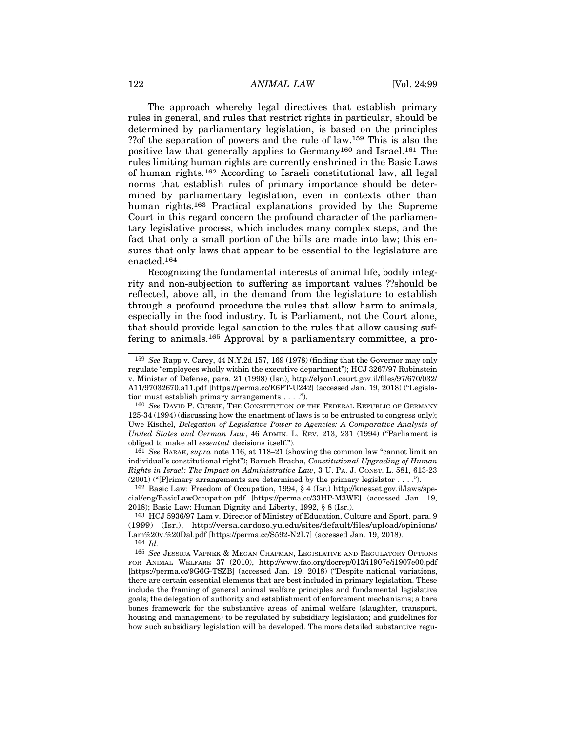122 ANIMAL LAW [Vol. 24:99]<br>The approach whereby legal directives that establish primary<br>when in general and when the neutrint wichts in portinular should be The approach whereby legal directives that establish primary rules in general, and rules that restrict rights in particular, should be determined by parliamentary legislation, is based on the principles ??of the separation of powers and the rule of law.159 This is also the positive law that generally applies to Germany160 and Israel.161 The rules limiting human rights are currently enshrined in the Basic Laws of human rights.162 According to Israeli constitutional law, all legal norms that establish rules of primary importance should be determined by parliamentary legislation, even in contexts other than human rights.<sup>163</sup> Practical explanations provided by the Supreme Court in this regard concern the profound character of the parliamentary legislative process, which includes many complex steps, and the fact that only a small portion of the bills are made into law; this ensures that only laws that appear to be essential to the legislature are enacted.164

Recognizing the fundamental interests of animal life, bodily integrity and non-subjection to suffering as important values ??should be reflected, above all, in the demand from the legislature to establish through a profound procedure the rules that allow harm to animals, especially in the food industry. It is Parliament, not the Court alone, that should provide legal sanction to the rules that allow causing suffering to animals.165 Approval by a parliamentary committee, a proefflected, above all, in the demand from the legislature to establish<br>procedure profound procedure the rules that allow harm to animals,<br>precisilly in the food industry. It is Parliament, not the Court alone,<br>nat should p

161 See BARAK, supra note 116, at 118–21 (showing the common law "cannot limit an individual's constitutional right"); Baruch Bracha, Constitutional Upgrading of Human Rights in Israel: The Impact on Administrative Law, 3 U. PA. J. CONST. L. 581, 613-23  $(2001)$  ("[P]rimary arrangements are determined by the primary legislator  $\dots$ ").

cial/eng/BasicLawOccupation.pdf [https://perma.cc/33HP-M3WE] (accessed Jan. 19,

<sup>159</sup> See Rapp v. Carey, 44 N.Y.2d 157, 169 (1978) (finding that the Governor may only regulate "employees wholly within the executive department"); HCJ 3267/97 Rubinstein v. Minister of Defense, para. 21 (1998) (Isr.), http://elyon1.court.gov.il/files/97/670/032/ A11/97032670.a11.pdf [https://perma.cc/E6PT-U242] (accessed Jan. 19, 2018) ("Legislation must establish primary arrangements . . . ."). that should provide legal sanction to the rules that allow causing suf-<br>fering to animals.<sup>165</sup> Approval by a parliamentary committee, a pro-<br>fering to animals.<sup>165</sup> Approval by a parliamentary committee, a pro-<br>regulate

<sup>125-34 (1994) (</sup>discussing how the enactment of laws is to be entrusted to congress only); Uwe Kischel, Delegation of Legislative Power to Agencies: A Comparative Analysis of obliged to make all essential decisions itself."). Minister of Defense, para. 21 (1998) (Isr.), http://elyon1.court.gov.il/files/97/670/032/<br>11/97032670.a11.pdf [https://perma.cc/E6PT-U242] (accessed Jan. 19, 2018) ("Legisla-<br>no must establish primary arrangements ....").<br> tion must establish primary arrangements . . . .").<br>
<sup>160</sup> See Davin P. Curkin; The Construction or THE Feberal Republic or Germany<br>
125-34 (1994) (discussing how the enactment of laws is to be entrusted to congress only);

<sup>163</sup> HCJ 5936/97 Lam v. Director of Ministry of Education, Culture and Sport, para. 9 (1999) (Isr.), http://versa.cardozo.yu.edu/sites/default/files/upload/opinions/ Lam%20v.%20Dal.pdf [https://perma.cc/S592-N2L7] (accessed Jan. 19, 2018). 164 Id.

<sup>%</sup> bliged to make all *essential* decisions itself.").<br>
<sup>161</sup> See BaRax, supra note 116, at 118-21 (showing the common law "cannot limit an<br>
individual's constitutional right"); Baruch Brackh, Constitutional Upgrading of H [https://perma.cc/9G6G-TSZB] (accessed Jan. 19, 2018) ("Despite national variations, there are certain essential elements that are best included in primary legislation. These include the framing of general animal welfare principles and fundamental legislative goals; the delegation of authority and establishment of enforcement mechanisms; a bare bones framework for the substantive areas of animal welfare (slaughter, transport, housing and management) to be regulated by subsidiary legislation; and guidelines for how such subsidiary legislation will be developed. The more detailed substantive regu-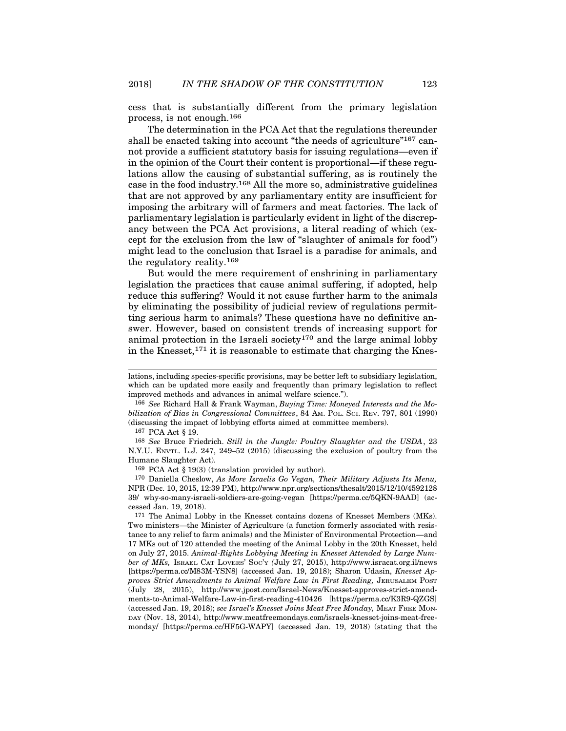cess that is substantially different from the primary legislation process, is not enough.166

The determination in the PCA Act that the regulations thereunder shall be enacted taking into account "the needs of agriculture"<sup>167</sup> cannot provide a sufficient statutory basis for issuing regulations—even if in the opinion of the Court their content is proportional—if these regulations allow the causing of substantial suffering, as is routinely the case in the food industry.168 All the more so, administrative guidelines that are not approved by any parliamentary entity are insufficient for imposing the arbitrary will of farmers and meat factories. The lack of parliamentary legislation is particularly evident in light of the discrepancy between the PCA Act provisions, a literal reading of which (except for the exclusion from the law of "slaughter of animals for food") might lead to the conclusion that Israel is a paradise for animals, and the regulatory reality.169

But would the mere requirement of enshrining in parliamentary legislation the practices that cause animal suffering, if adopted, help reduce this suffering? Would it not cause further harm to the animals by eliminating the possibility of judicial review of regulations permitting serious harm to animals? These questions have no definitive answer. However, based on consistent trends of increasing support for animal protection in the Israeli society<sup>170</sup> and the large animal lobby in the Knesset,<sup>171</sup> it is reasonable to estimate that charging the Knes-In the Knesset, 171 is a model in the Ungle: Poultry S.<br>
Mere Processor Search Contains and the Knesset,<sup>171</sup> it is reasonable to estimate the Knesset,<sup>171</sup> it is reasonable to estimate the Knesset,<sup>171</sup> it is reasonable t

171 The Animal Lobby in the Knesset contains dozens of Knesset Members (MKs). Two ministers—the Minister of Agriculture (a function formerly associated with resistance to any relief to farm animals) and the Minister of Environmental Protection—and 17 MKs out of 120 attended the meeting of the Animal Lobby in the 20th Knesset, held on July 27, 2015. Animal-Rights Lobbying Meeting in Knesset Attended by Large Number of MKs, ISRAEL CAT LOVERS' SOC'Y (July 27, 2015), http://www.isracat.org.il/news Humane Slaughter Act).<br>
<sup>169</sup> PCA Act § 19(3) (translation provided by author).<br>
<sup>170</sup> Daniella Cheslow, *As More Israelis Go Vegan*, *Their Military Adjusts Its Menu*,<br>
NPR (Dec. 10, 2015, 12:39 PM), http://www.npr.org/se proves Strict Amendments to Animal Welfare Law in First Reading, JERUSALEM POST (July 28, 2015), http://www.jpost.com/Israel-News/Knesset-approves-strict-amendments-to-Animal-Welfare-Law-in-first-reading-410426 [https://perma.cc/K3R9-QZGS] (accessed Jan. 19, 2018); see Israel's Knesset Joins Meat Free Monday, MEAT FREE MON- DAY (Nov. 18, 2014), http://www.meatfreemondays.com/israels-knesset-joins-meat-freemonday/ [https://perma.cc/HF5G-WAPY] (accessed Jan. 19, 2018) (stating that the

lations, including species-specific provisions, may be better left to subsidiary legislation, which can be updated more easily and frequently than primary legislation to reflect improved methods and advances in animal welfare science.").

<sup>166</sup> See Richard Hall & Frank Wayman, Buying Time: Moneyed Interests and the Mobilization of Bias in Congressional Committees, 84 AM. POL. SCI. REV. 797, 801 (1990) (discussing the impact of lobbying efforts aimed at committee members). tions, including species-specific provisions, may be better left to s<br>hich can be updated more easily and frequently than primary<br>proved methods and advances in animal welfare science.").<br>166 *See* Richard Hall & Frank Way

<sup>168</sup> See Bruce Friedrich. Still in the Jungle: Poultry Slaughter and the USDA, 23 N.Y.U. ENVTL. L.J. 247, 249–52 (2015) (discussing the exclusion of poultry from the Humane Slaughter Act).

<sup>170</sup> Daniella Cheslow, As More Israelis Go Vegan, Their Military Adjusts Its Menu, NPR (Dec. 10, 2015, 12:39 PM), http://www.npr.org/sections/thesalt/2015/12/10/4592128 39/ why-so-many-israeli-soldiers-are-going-vegan [https://perma.cc/5QKN-9AAD] (accessed Jan. 19, 2018).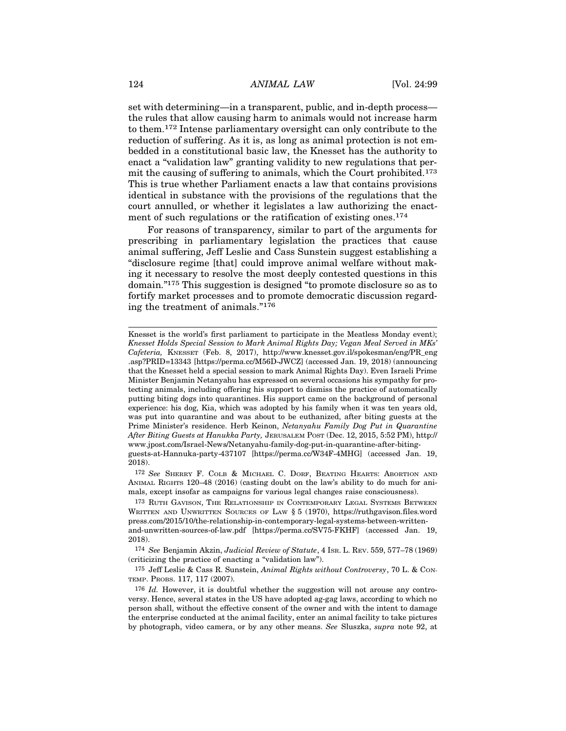124 ANIMAL LAW [Vol. 24:99]<br>set with determining—in a transparent, public, and in-depth process—<br>the welse that ellew souring how to opimals would not increase how set with determining—in a transparent, public, and in-depth process the rules that allow causing harm to animals would not increase harm to them.172 Intense parliamentary oversight can only contribute to the reduction of suffering. As it is, as long as animal protection is not embedded in a constitutional basic law, the Knesset has the authority to enact a "validation law" granting validity to new regulations that permit the causing of suffering to animals, which the Court prohibited.173 This is true whether Parliament enacts a law that contains provisions identical in substance with the provisions of the regulations that the court annulled, or whether it legislates a law authorizing the enactment of such regulations or the ratification of existing ones.<sup>174</sup>

For reasons of transparency, similar to part of the arguments for prescribing in parliamentary legislation the practices that cause animal suffering, Jeff Leslie and Cass Sunstein suggest establishing a "disclosure regime [that] could improve animal welfare without making it necessary to resolve the most deeply contested questions in this domain."175 This suggestion is designed "to promote disclosure so as to fortify market processes and to promote democratic discussion regarding the treatment of animals."<sup>176</sup>

ANIMAL RIGHTS 120–48 (2016) (casting doubt on the law's ability to do much for animals, except insofar as campaigns for various legal changes raise consciousness).

Knesset is the world's first parliament to participate in the Meatless Monday event); Knesset Holds Special Session to Mark Animal Rights Day; Vegan Meal Served in MKs' Cafeteria, KNESSET (Feb. 8, 2017), http://www.knesset.gov.il/spokesman/eng/PR\_eng .asp?PRID=13343 [https://perma.cc/M56D-JWCZ] (accessed Jan. 19, 2018) (announcing that the Knesset held a special session to mark Animal Rights Day). Even Israeli Prime Minister Benjamin Netanyahu has expressed on several occasions his sympathy for protecting animals, including offering his support to dismiss the practice of automatically putting biting dogs into quarantines. His support came on the background of personal experience: his dog, Kia, which was adopted by his family when it was ten years old, was put into quarantine and was about to be euthanized, after biting guests at the Prime Minister's residence. Herb Keinon, Netanyahu Family Dog Put in Quarantine After Biting Guests at Hanukka Party, JERUSALEM POST (Dec. 12, 2015, 5:52 PM), http:// www.jpost.com/Israel-News/Netanyahu-family-dog-put-in-quarantine-after-bitingguests-at-Hannuka-party-437107 [https://perma.cc/W34F-4MHG] (accessed Jan. 19, 2018). sp?PRID=13343 Inttps://perma.cc/M56D-JWCZI (accessed Jan. 19, 2018) (announcing<br>at the Knesset held a special ession to mark Animal Rights Day). Even Israeli Prime<br>inister Benjamin Netanyahu has expressed on several occasi Intering annals, mcluding offering his support to dismiss the practice of automatically experience: his dog, Kia, which was adopted by his family when it was ten years old, was put into quarantine and was about to be euth

press.com/2015/10/the-relationship-in-contemporary-legal-systems-between-writtenand-unwritten-sources-of-law.pdf [https://perma.cc/SV75-FKHF] (accessed Jan. 19, 2018).

<sup>174</sup> See Benjamin Akzin, Judicial Review of Statute, 4 ISR. L. REV. 559, 577–78 (1969) (criticizing the practice of enacting a "validation law").

<sup>175</sup> Jeff Leslie & Cass R. Sunstein, Animal Rights without Controversy, 70 L. & CON- TEMP. PROBS. 117, 117 (2007).

<sup>176</sup> Id. However, it is doubtful whether the suggestion will not arouse any controversy. Hence, several states in the US have adopted ag-gag laws, according to which no person shall, without the effective consent of the owner and with the intent to damage the enterprise conducted at the animal facility, enter an animal facility to take pictures by photograph, video camera, or by any other means. See Sluszka, *supra* note 92, at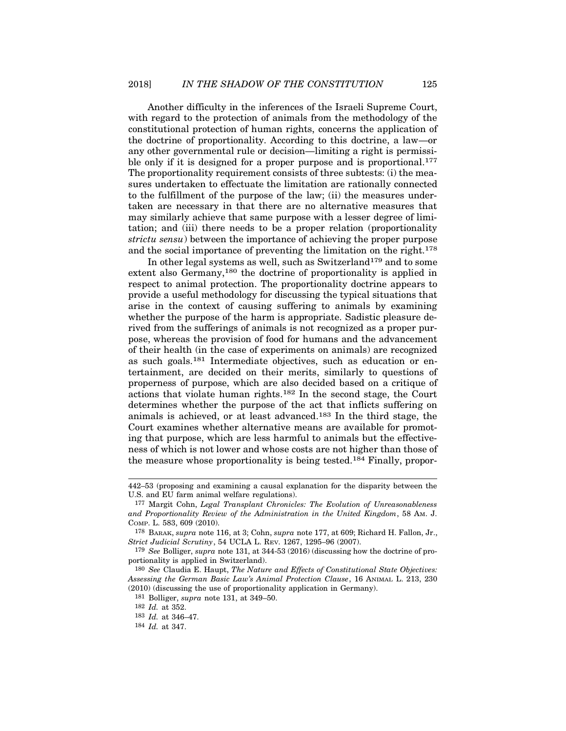Another difficulty in the inferences of the Israeli Supreme Court, with regard to the protection of animals from the methodology of the constitutional protection of human rights, concerns the application of the doctrine of proportionality. According to this doctrine, a law—or any other governmental rule or decision—limiting a right is permissible only if it is designed for a proper purpose and is proportional.<sup>177</sup> The proportionality requirement consists of three subtests: (i) the measures undertaken to effectuate the limitation are rationally connected to the fulfillment of the purpose of the law; (ii) the measures undertaken are necessary in that there are no alternative measures that may similarly achieve that same purpose with a lesser degree of limitation; and (iii) there needs to be a proper relation (proportionality strictu sensu) between the importance of achieving the proper purpose and the social importance of preventing the limitation on the right.<sup>178</sup>

In other legal systems as well, such as Switzerland<sup>179</sup> and to some extent also Germany,<sup>180</sup> the doctrine of proportionality is applied in respect to animal protection. The proportionality doctrine appears to provide a useful methodology for discussing the typical situations that arise in the context of causing suffering to animals by examining whether the purpose of the harm is appropriate. Sadistic pleasure derived from the sufferings of animals is not recognized as a proper purpose, whereas the provision of food for humans and the advancement of their health (in the case of experiments on animals) are recognized as such goals.181 Intermediate objectives, such as education or entertainment, are decided on their merits, similarly to questions of properness of purpose, which are also decided based on a critique of actions that violate human rights.182 In the second stage, the Court determines whether the purpose of the act that inflicts suffering on animals is achieved, or at least advanced.183 In the third stage, the Court examines whether alternative means are available for promoting that purpose, which are less harmful to animals but the effectiveness of which is not lower and whose costs are not higher than those of the measure whose proportionality is being tested.184 Finally, propor-

<sup>442–53 (</sup>proposing and examining a causal explanation for the disparity between the U.S. and EU farm animal welfare regulations).

<sup>177</sup> Margit Cohn, Legal Transplant Chronicles: The Evolution of Unreasonableness and Proportionality Review of the Administration in the United Kingdom, 58 AM. J. COMP. L. 583, 609 (2010).

<sup>178</sup> BARAK, supra note 116, at 3; Cohn, supra note 177, at 609; Richard H. Fallon, Jr., Strict Judicial Scrutiny, 54 UCLA L. REV. 1267, 1295–96 (2007).

<sup>179</sup> See Bolliger, supra note 131, at 344-53 (2016) (discussing how the doctrine of proportionality is applied in Switzerland).

<sup>180</sup> See Claudia E. Haupt, The Nature and Effects of Constitutional State Objectives: Assessing the German Basic Law's Animal Protection Clause, 16 ANIMAL L. 213, 230 (2010) (discussing the use of proportionality application in Germany).

<sup>181</sup> Bolliger, supra note 131, at 349–50.

<sup>182</sup> Id. at 352.

<sup>183</sup> Id. at 346–47.

<sup>184</sup> Id. at 347.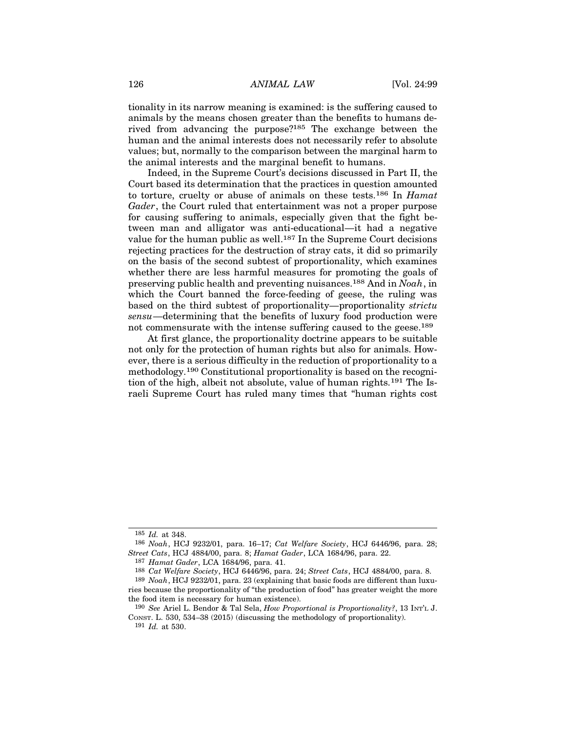126 ANIMAL LAW [Vol. 24:99]<br>
itionality in its narrow meaning is examined: is the suffering caused to<br>
conjunels by the means chasen greater than the benefits to by<br>
subsetting the summary dependent of the benefits to by<br> tionality in its narrow meaning is examined: is the suffering caused to animals by the means chosen greater than the benefits to humans derived from advancing the purpose?185 The exchange between the human and the animal interests does not necessarily refer to absolute values; but, normally to the comparison between the marginal harm to the animal interests and the marginal benefit to humans.

Indeed, in the Supreme Court's decisions discussed in Part II, the Court based its determination that the practices in question amounted to torture, cruelty or abuse of animals on these tests.<sup>186</sup> In *Hamat* Gader, the Court ruled that entertainment was not a proper purpose for causing suffering to animals, especially given that the fight between man and alligator was anti-educational—it had a negative value for the human public as well.<sup>187</sup> In the Supreme Court decisions rejecting practices for the destruction of stray cats, it did so primarily on the basis of the second subtest of proportionality, which examines whether there are less harmful measures for promoting the goals of preserving public health and preventing nuisances.188 And in Noah, in which the Court banned the force-feeding of geese, the ruling was based on the third subtest of proportionality—proportionality strictu sensu—determining that the benefits of luxury food production were not commensurate with the intense suffering caused to the geese.<sup>189</sup>

At first glance, the proportionality doctrine appears to be suitable not only for the protection of human rights but also for animals. However, there is a serious difficulty in the reduction of proportionality to a methodology.190 Constitutional proportionality is based on the recognition of the high, albeit not absolute, value of human rights.191 The Israeli Supreme Court has ruled many times that "human rights cost

<sup>185</sup> Id. at 348.

<sup>186</sup> Noah, HCJ 9232/01, para. 16–17; Cat Welfare Society, HCJ 6446/96, para. 28; Street Cats, HCJ 4884/00, para. 8; Hamat Gader, LCA 1684/96, para. 22.

<sup>187</sup> Hamat Gader, LCA 1684/96, para. 41.

<sup>188</sup> Cat Welfare Society, HCJ 6446/96, para. 24; Street Cats, HCJ 4884/00, para. 8.

<sup>189</sup> Noah, HCJ 9232/01, para. 23 (explaining that basic foods are different than luxuries because the proportionality of "the production of food" has greater weight the more the food item is necessary for human existence).

<sup>190</sup> See Ariel L. Bendor & Tal Sela, How Proportional is Proportionality?, 13 INT'L J. CONST. L. 530, 534–38 (2015) (discussing the methodology of proportionality).

<sup>191</sup> Id. at 530.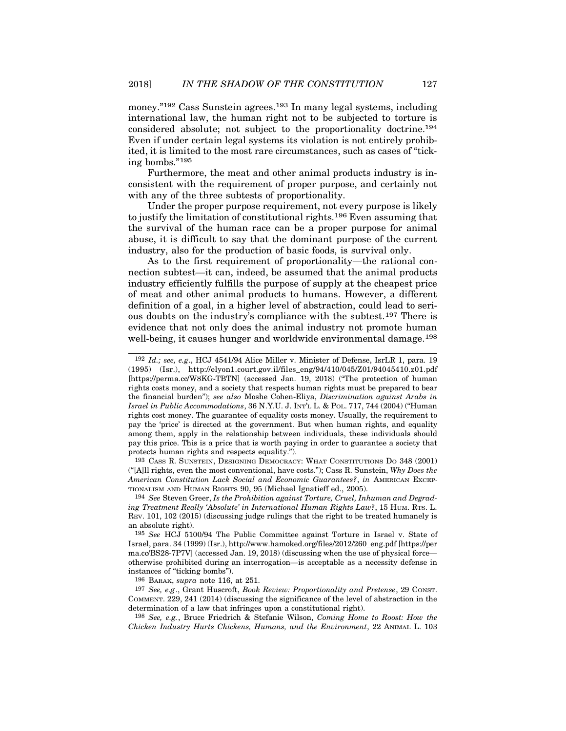money."<sup>192</sup> Cass Sunstein agrees.<sup>193</sup> In many legal systems, including international law, the human right not to be subjected to torture is considered absolute; not subject to the proportionality doctrine.194 Even if under certain legal systems its violation is not entirely prohibited, it is limited to the most rare circumstances, such as cases of "ticking bombs."<sup>195</sup>

Furthermore, the meat and other animal products industry is inconsistent with the requirement of proper purpose, and certainly not with any of the three subtests of proportionality.

Under the proper purpose requirement, not every purpose is likely to justify the limitation of constitutional rights.196 Even assuming that the survival of the human race can be a proper purpose for animal abuse, it is difficult to say that the dominant purpose of the current industry, also for the production of basic foods, is survival only.

As to the first requirement of proportionality—the rational connection subtest—it can, indeed, be assumed that the animal products industry efficiently fulfills the purpose of supply at the cheapest price of meat and other animal products to humans. However, a different definition of a goal, in a higher level of abstraction, could lead to serious doubts on the industry's compliance with the subtest.197 There is evidence that not only does the animal industry not promote human well-being, it causes hunger and worldwide environmental damage.<sup>198</sup>

193 CASS R. SUNSTEIN, DESIGNING DEMOCRACY: WHAT CONSTITUTIONS DO 348 (2001) ("[A]]] rights, even the most conventional, have costs."); Cass R. Sunstein,  $Whv$  Does the

194 See Steven Greer, Is the Prohibition against Torture, Cruel, Inhuman and Degrading Treatment Really 'Absolute' in International Human Rights Law?, 15 HUM. RTS. L. REV. 101, 102 (2015) (discussing judge rulings that the right to be treated humanely is an absolute right).

195 See HCJ 5100/94 The Public Committee against Torture in Israel v. State of Israel, para. 34 (1999) (Isr.), http://www.hamoked.org/files/2012/260\_eng.pdf [https://per ma.cc/BS28-7P7V] (accessed Jan. 19, 2018) (discussing when the use of physical force otherwise prohibited during an interrogation—is acceptable as a necessity defense in instances of "ticking bombs").

196 BARAK, supra note 116, at 251.

197 See, e.g., Grant Huscroft, Book Review: Proportionality and Pretense, 29 CONST. COMMENT. 229, 241 (2014) (discussing the significance of the level of abstraction in the determination of a law that infringes upon a constitutional right).

198 See, e.g., Bruce Friedrich & Stefanie Wilson, Coming Home to Roost: How the Chicken Industry Hurts Chickens, Humans, and the Environment, 22 ANIMAL L. 103

<sup>192</sup> Id.; see, e.g., HCJ 4541/94 Alice Miller v. Minister of Defense, IsrLR 1, para. 19 (1995) (Isr.), http://elyon1.court.gov.il/files\_eng/94/410/045/Z01/94045410.z01.pdf [https://perma.cc/W8KG-TBTN] (accessed Jan. 19, 2018) ("The protection of human rights costs money, and a society that respects human rights must be prepared to bear the financial burden"); see also Moshe Cohen-Eliya, Discrimination against Arabs in Israel in Public Accommodations, 36 N.Y.U. J. INT'L L. & POL. 717, 744 (2004) ("Human rights cost money. The guarantee of equality costs money. Usually, the requirement to pay the 'price' is directed at the government. But when human rights, and equality among them, apply in the relationship between individuals, these individuals should pay this price. This is a price that is worth paying in order to guarantee a society that protects human rights and respects equality."). [https://perma.cc/W8KG-TBTN] (accessed Jan. 19, 2018) ("The protection of human<br>rights costs money, and a society that respects human rights must be prepared to bear<br>*Israel in Public Accommodations*, 36 N.Y.U.J. IN:ri-L.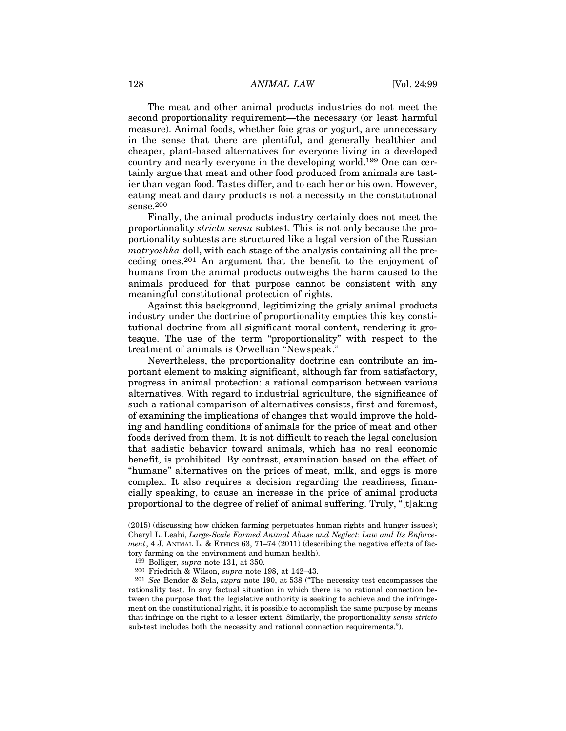128 ANIMAL LAW [Vol. 24:99]<br>The meat and other animal products industries do not meet the<br>second proportionality requirement the processes (or locat benefall) The meat and other animal products industries do not meet the second proportionality requirement—the necessary (or least harmful measure). Animal foods, whether foie gras or yogurt, are unnecessary in the sense that there are plentiful, and generally healthier and cheaper, plant-based alternatives for everyone living in a developed country and nearly everyone in the developing world.199 One can certainly argue that meat and other food produced from animals are tastier than vegan food. Tastes differ, and to each her or his own. However, eating meat and dairy products is not a necessity in the constitutional sense.200

Finally, the animal products industry certainly does not meet the proportionality strictu sensu subtest. This is not only because the proportionality subtests are structured like a legal version of the Russian matryoshka doll, with each stage of the analysis containing all the preceding ones.201 An argument that the benefit to the enjoyment of humans from the animal products outweighs the harm caused to the animals produced for that purpose cannot be consistent with any meaningful constitutional protection of rights.

Against this background, legitimizing the grisly animal products industry under the doctrine of proportionality empties this key constitutional doctrine from all significant moral content, rendering it grotesque. The use of the term "proportionality" with respect to the treatment of animals is Orwellian "Newspeak."

Nevertheless, the proportionality doctrine can contribute an important element to making significant, although far from satisfactory, progress in animal protection: a rational comparison between various alternatives. With regard to industrial agriculture, the significance of such a rational comparison of alternatives consists, first and foremost, of examining the implications of changes that would improve the holding and handling conditions of animals for the price of meat and other foods derived from them. It is not difficult to reach the legal conclusion that sadistic behavior toward animals, which has no real economic benefit, is prohibited. By contrast, examination based on the effect of "humane" alternatives on the prices of meat, milk, and eggs is more complex. It also requires a decision regarding the readiness, financially speaking, to cause an increase in the price of animal products proportional to the degree of relief of animal suffering. Truly, "[t]aking

<sup>(2015) (</sup>discussing how chicken farming perpetuates human rights and hunger issues); Cheryl L. Leahi, Large-Scale Farmed Animal Abuse and Neglect: Law and Its Enforcement, 4 J. ANIMAL L. & ETHICS 63,  $71-74$  (2011) (describing the negative effects of factory farming on the environment and human health).

<sup>199</sup> Bolliger, supra note 131, at 350.

<sup>200</sup> Friedrich & Wilson, supra note 198, at 142–43.

<sup>201</sup> See Bendor & Sela, supra note 190, at 538 ("The necessity test encompasses the rationality test. In any factual situation in which there is no rational connection between the purpose that the legislative authority is seeking to achieve and the infringement on the constitutional right, it is possible to accomplish the same purpose by means that infringe on the right to a lesser extent. Similarly, the proportionality sensu stricto sub-test includes both the necessity and rational connection requirements.").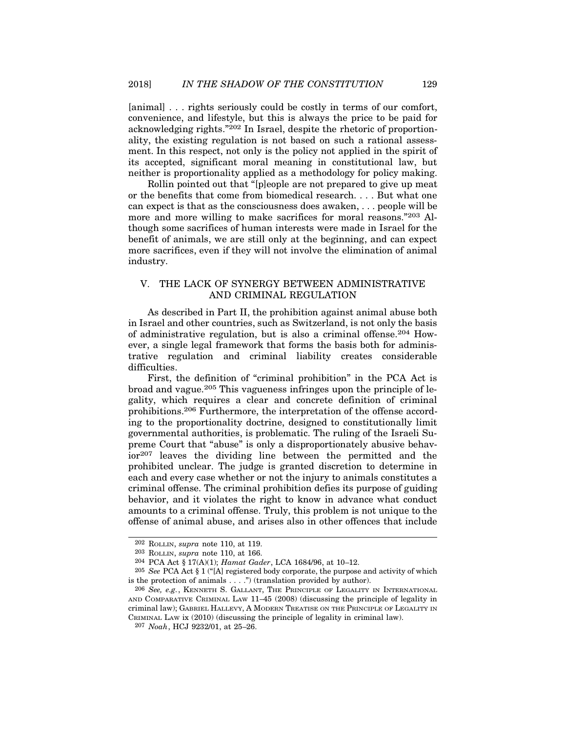[animal] . . . rights seriously could be costly in terms of our comfort, convenience, and lifestyle, but this is always the price to be paid for acknowledging rights."202 In Israel, despite the rhetoric of proportionality, the existing regulation is not based on such a rational assessment. In this respect, not only is the policy not applied in the spirit of its accepted, significant moral meaning in constitutional law, but neither is proportionality applied as a methodology for policy making.

Rollin pointed out that "[p]eople are not prepared to give up meat or the benefits that come from biomedical research. . . . But what one can expect is that as the consciousness does awaken, . . . people will be more and more willing to make sacrifices for moral reasons."203 Although some sacrifices of human interests were made in Israel for the benefit of animals, we are still only at the beginning, and can expect more sacrifices, even if they will not involve the elimination of animal industry. ther is proportionality applied as a methodology for policy making.<br>
Rollin pointed out that "[p]eople are not prepared to give up meat<br>
the benefits that come from biomedical research. . . . But what one<br>
nexpect is that

# AND CRIMINAL REGULATION

As described in Part II, the prohibition against animal abuse both in Israel and other countries, such as Switzerland, is not only the basis of administrative regulation, but is also a criminal offense.204 However, a single legal framework that forms the basis both for administrative regulation and criminal liability creates considerable difficulties.

First, the definition of "criminal prohibition" in the PCA Act is broad and vague.205 This vagueness infringes upon the principle of legality, which requires a clear and concrete definition of criminal prohibitions.206 Furthermore, the interpretation of the offense according to the proportionality doctrine, designed to constitutionally limit governmental authorities, is problematic. The ruling of the Israeli Supreme Court that "abuse" is only a disproportionately abusive behavior207 leaves the dividing line between the permitted and the prohibited unclear. The judge is granted discretion to determine in each and every case whether or not the injury to animals constitutes a criminal offense. The criminal prohibition defies its purpose of guiding behavior, and it violates the right to know in advance what conduct amounts to a criminal offense. Truly, this problem is not unique to the offense of animal abuse, and arises also in other offences that include  $r^{207}$  leaves the dividing line between the permitted<br>rohibited unclear. The judge is granted discretion to dete<br>ach and every case whether or not the injury to animals cons<br>riminal offense. The criminal prohibition def 202 Rollary and the purpose and existing the section to determine in a characteristic and every case whether or not the injury to animals constitutes a timinal offense. The criminal prohibition defies its purpose of guidi each and every case whether or not the injury to animals constitutes a<br>eriminal offense. The criminal prohibition defies its purpose of guiding<br>amounts to a criminal offense. Truly, this problem is not unique to the<br>offens

<sup>202</sup> ROLLIN, supra note 110, at 119.

<sup>203</sup> ROLLIN, supra note 110, at 166.

is the protection of animals  $\dots$ .") (translation provided by author).

behavior, and it violates the right to know in advance what conduct<br>amounts to a criminal offense. Truly, this problem is not unique to the<br>offense of animal abuse, and arises also in other offences that include<br> $\frac{202 \text$ CRIMINAL LAW ix (2010) (discussing the principle of legality in criminal law).

<sup>207</sup> Noah, HCJ 9232/01, at 25–26.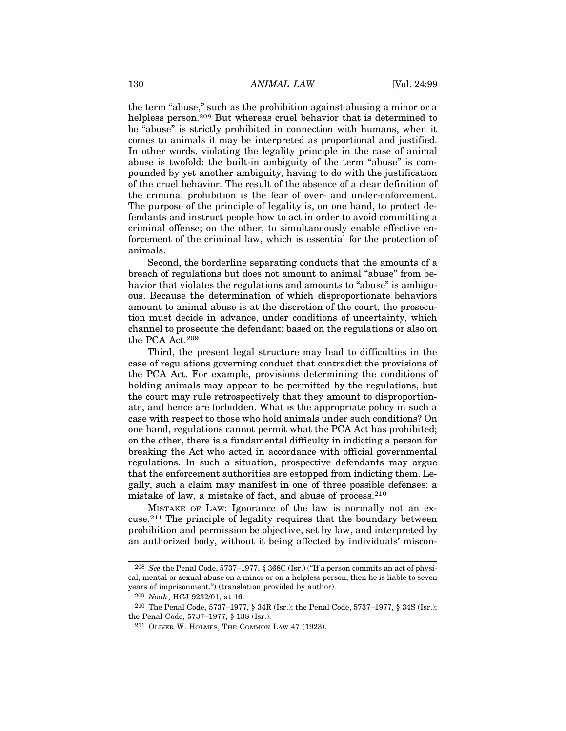130 ANIMAL LAW [Vol. 24:99]<br>
the term "abuse," such as the prohibition against abusing a minor or a<br>
helpleg parson 208 Put whereon awal behavior that is determined to the term "abuse," such as the prohibition against abusing a minor or a helpless person.<sup>208</sup> But whereas cruel behavior that is determined to be "abuse" is strictly prohibited in connection with humans, when it comes to animals it may be interpreted as proportional and justified. In other words, violating the legality principle in the case of animal abuse is twofold: the built-in ambiguity of the term "abuse" is compounded by yet another ambiguity, having to do with the justification of the cruel behavior. The result of the absence of a clear definition of the criminal prohibition is the fear of over- and under-enforcement. The purpose of the principle of legality is, on one hand, to protect defendants and instruct people how to act in order to avoid committing a criminal offense; on the other, to simultaneously enable effective enforcement of the criminal law, which is essential for the protection of animals.

Second, the borderline separating conducts that the amounts of a breach of regulations but does not amount to animal "abuse" from behavior that violates the regulations and amounts to "abuse" is ambiguous. Because the determination of which disproportionate behaviors amount to animal abuse is at the discretion of the court, the prosecution must decide in advance, under conditions of uncertainty, which channel to prosecute the defendant: based on the regulations or also on the PCA Act.209

Third, the present legal structure may lead to difficulties in the case of regulations governing conduct that contradict the provisions of the PCA Act. For example, provisions determining the conditions of holding animals may appear to be permitted by the regulations, but the court may rule retrospectively that they amount to disproportionate, and hence are forbidden. What is the appropriate policy in such a case with respect to those who hold animals under such conditions? On one hand, regulations cannot permit what the PCA Act has prohibited; on the other, there is a fundamental difficulty in indicting a person for breaking the Act who acted in accordance with official governmental regulations. In such a situation, prospective defendants may argue that the enforcement authorities are estopped from indicting them. Legally, such a claim may manifest in one of three possible defenses: a mistake of law, a mistake of fact, and abuse of process.210 court may rule retrospectively that they amount to disproportion-<br>and hence are forbidden. What is the appropriate policy in such a<br>with respect to those who hold animals under such conditions? On<br>hand, regulations cannot Equilations. In such a situation, prospective defendants may argue that the enforcement authorities are estopped from indicting them. Leally, such a claim may manifest in one of three possible defenses: a sitake of law, a

cuse.211 The principle of legality requires that the boundary between prohibition and permission be objective, set by law, and interpreted by an authorized body, without it being affected by individuals' misconistake of law, a mistake of fact, and abuse of process.<sup>210</sup><br>MISTAKE OF LAW: Ignorance of the law is normally not an ex-<br>Ise.<sup>211</sup> The principle of legality requires that the boundary between<br>cohibition and permission be o MISTAKE OF LAW: Ignorance of the law is normally<br>cuse.<sup>211</sup> The principle of legality requires that the bounds<br>prohibition and permission be objective, set by law, and in<br>an authorized body, without it being affected by i

cal, mental or sexual abuse on a minor or on a helpless person, then he is liable to seven years of imprisonment.") (translation provided by author).

<sup>209</sup> Noah, HCJ 9232/01, at 16.

<sup>211</sup> OLIVER W. HOLMES, THE COMMON LAW 47 (1923).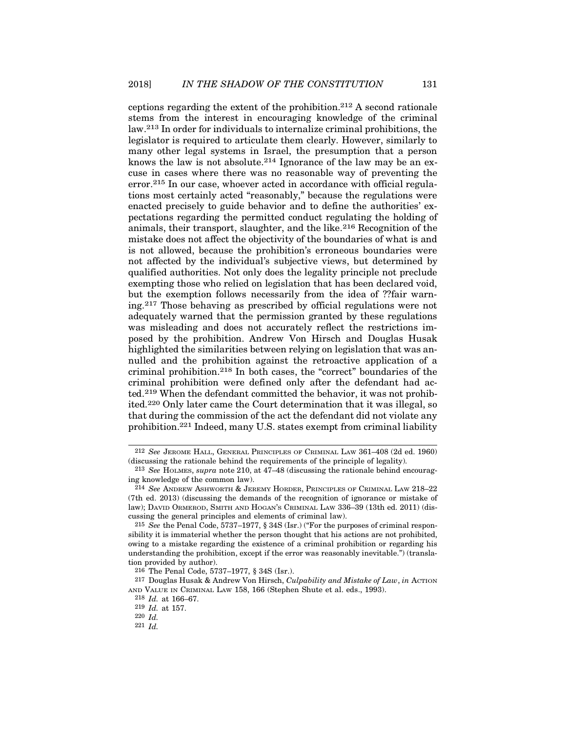ceptions regarding the extent of the prohibition.<sup>212</sup> A second rationale stems from the interest in encouraging knowledge of the criminal law.213 In order for individuals to internalize criminal prohibitions, the legislator is required to articulate them clearly. However, similarly to many other legal systems in Israel, the presumption that a person knows the law is not absolute.<sup>214</sup> Ignorance of the law may be an excuse in cases where there was no reasonable way of preventing the error.<sup>215</sup> In our case, whoever acted in accordance with official regulations most certainly acted "reasonably," because the regulations were enacted precisely to guide behavior and to define the authorities' expectations regarding the permitted conduct regulating the holding of animals, their transport, slaughter, and the like.216 Recognition of the mistake does not affect the objectivity of the boundaries of what is and is not allowed, because the prohibition's erroneous boundaries were not affected by the individual's subjective views, but determined by qualified authorities. Not only does the legality principle not preclude exempting those who relied on legislation that has been declared void, but the exemption follows necessarily from the idea of ??fair warning.217 Those behaving as prescribed by official regulations were not adequately warned that the permission granted by these regulations was misleading and does not accurately reflect the restrictions imposed by the prohibition. Andrew Von Hirsch and Douglas Husak highlighted the similarities between relying on legislation that was annulled and the prohibition against the retroactive application of a criminal prohibition.218 In both cases, the "correct" boundaries of the criminal prohibition were defined only after the defendant had acted.219 When the defendant committed the behavior, it was not prohibited.220 Only later came the Court determination that it was illegal, so that during the commission of the act the defendant did not violate any prohibition.221 Indeed, many U.S. states exempt from criminal liability 312 See Jerome HALL, GENERAL PRINCIPLES or CRIMINAL LAW 361–408 (2d ed. 1960)<br>213 See Houndaries between relying on legislation that was an-<br>uled and the prohibition against the retroactive application of a<br>1-iminal prohi The properties of the common law).<br>
The state of the defendant had actd.<sup>219</sup> When the defendant committed the behavior, it was not prohib-<br>
ed.<sup>220</sup> Only later came the Court determination that it was illegal, so<br>
nat du Led.<sup>213</sup> When the defendant committed the benavior, it was not pronibited.<sup>220</sup> Only later came the Court determination that it was illegal, so that during the commission of the act the defendant did not violate any proh

<sup>(</sup>discussing the rationale behind the requirements of the principle of legality).

<sup>213</sup> See HOLMES, supra note 210, at 47–48 (discussing the rationale behind encouraging knowledge of the common law).

<sup>(7</sup>th ed. 2013) (discussing the demands of the recognition of ignorance or mistake of law); DAVID ORMEROD, SMITH AND HOGAN'S CRIMINAL LAW 336–39 (13th ed. 2011) (discussing the general principles and elements of criminal law).

nat during the commission of the act the defendant did not violate any<br>rohibition.<sup>221</sup> Indeed, many U.S. states exempt from criminal liability<br><sup>212</sup> See JEROME HALL, GENERAL PRINCIPLES OF CRIMINAL LAW 361–408 (2d ed. 1960 sibility it is immaterial whether the person thought that his actions are not prohibited, owing to a mistake regarding the existence of a criminal prohibition or regarding his understanding the prohibition, except if the error was reasonably inevitable.") (translation provided by author). iscussing the rationale behind the requirements of the principle of legality).<br>
<sup>213</sup> See HOLMES, supra note 210, at 47–48 (discussing the rationale behind e<br>
g knowledge of the common law).<br>
<sup>214</sup> See ANDREW ASHWORTH & JE ing knowledge of the common law).<br>
<sup>214</sup> See ANDREW ASHWORTH & JEREMY HORDER, PRINCIPLES OF CRIMINAL LAW 218<br>
(7th ed. 2013) (discussing the demands of the recognition of ignorance or mistake<br>
law); David Discussing the d

<sup>&</sup>lt;sup>217</sup> Douglas Husak & Andrew Von Hirsch, Culpability and Mistake of Law, in ACTION AND VALUE IN CRIMINAL LAW 158, 166 (Stephen Shute et al. eds., 1993).

<sup>218</sup> Id. at 166–67.

<sup>219</sup> Id. at 157.

<sup>220</sup> Id.

<sup>221</sup> Id.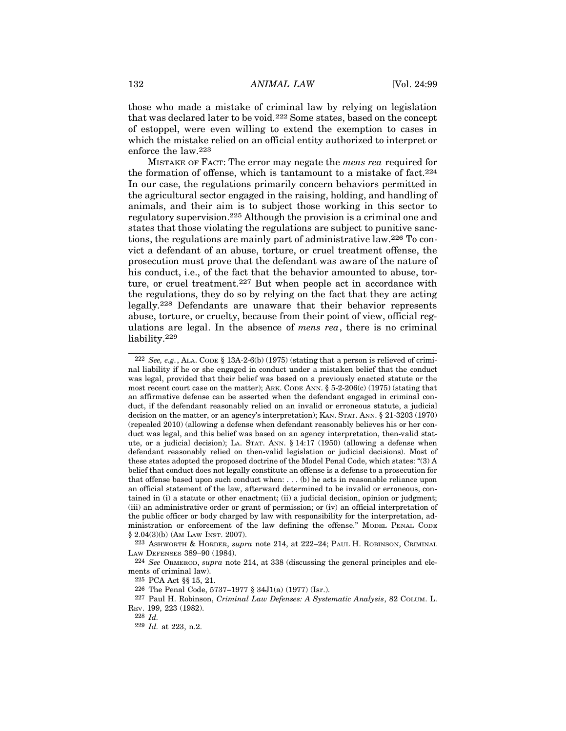132 ANIMAL LAW [Vol. 24:99]<br>
those who made a mistake of criminal law by relying on legislation<br>
that was decleved laten to be weld 222. Some states, begad on the concent those who made a mistake of criminal law by relying on legislation that was declared later to be void.222 Some states, based on the concept of estoppel, were even willing to extend the exemption to cases in which the mistake relied on an official entity authorized to interpret or enforce the law.223 MISTAKE OF FACT: The error may negate the mens rea required in the mistake of error may be relying on legislation<br>was declared later to be void.<sup>222</sup> Some states, based on the concept<br>stoppel, were even willing to extend t

the formation of offense, which is tantamount to a mistake of fact.224 In our case, the regulations primarily concern behaviors permitted in the agricultural sector engaged in the raising, holding, and handling of animals, and their aim is to subject those working in this sector to regulatory supervision.225 Although the provision is a criminal one and states that those violating the regulations are subject to punitive sanctions, the regulations are mainly part of administrative law.226 To convict a defendant of an abuse, torture, or cruel treatment offense, the prosecution must prove that the defendant was aware of the nature of his conduct, i.e., of the fact that the behavior amounted to abuse, torture, or cruel treatment.<sup>227</sup> But when people act in accordance with the regulations, they do so by relying on the fact that they are acting legally.228 Defendants are unaware that their behavior represents abuse, torture, or cruelty, because from their point of view, official regulations are legal. In the absence of mens rea, there is no criminal liability.<sup>229</sup> ict a defendant of an abuse, torture, or cruel treatment offense, the<br>rosecution must prove that the defendant was aware of the nature of<br>is conduct, i.e., of the fact that the behavior amounted to abuse, tor-<br>ire, or cru ms conduct, i.e., or the rate tunter the behavior amounted to above, our<br>the regulations, they do so by relying on the fact that they are acting<br>legally.<sup>228</sup> Defendants are unaware that their behavior represents<br>abuse, t

223 ASHWORTH & HORDER, supra note 214, at 222–24; PAUL H. ROBINSON, CRIMINAL LAW DEFENSES 389–90 (1984).

224 See ORMEROD, supra note 214, at 338 (discussing the general principles and elements of criminal law).

227 Paul H. Robinson, Criminal Law Defenses: A Systematic Analysis, 82 COLUM. L. REV. 199, 223 (1982).

228 Id.

229 Id. at 223, n.2.

nal liability if he or she engaged in conduct under a mistaken belief that the conduct was legal, provided that their belief was based on a previously enacted statute or the an affirmative defense can be asserted when the defendant engaged in criminal conduct, if the defendant reasonably relied on an invalid or erroneous statute, a judicial legally.<sup>228</sup> Defendants are unaware that their behavior represents<br>abuse, torture, or cruelty, because from their point of view, official reg-<br>ulations are legal. In the absence of *mens rea*, there is no criminal<br>liabil (repealed 2010) (allowing a defense when defendant reasonably believes his or her conduct was legal, and this belief was based on an agency interpretation, then-valid stat-Itability.<sup>229</sup><br>
<sup>222</sup> *See, e.g.*, ALA. CoDE § 13A-2-6(b) (1975) (stating that a person is relieved of crimi-<br>
all liability if he or she engaged in conduct under a mistaken belief that the conduct<br>
was legal, provided t defendant reasonably relied on then-valid legislation or judicial decisions). Most of these states adopted the proposed doctrine of the Model Penal Code, which states: "(3) A belief that conduct does not legally constitute an offense is a defense to a prosecution for that offense based upon such conduct when:  $\dots$  (b) he acts in reasonable reliance upon an official statement of the law, afterward determined to be invalid or erroneous, contained in (i) a statute or other enactment; (ii) a judicial decision, opinion or judgment; (iii) an administrative order or grant of permission; or (iv) an official interpretation of the public officer or body charged by law with responsibility for the interpretation, administration or enforcement of the law defining the offense." MODEL PENAL CODE  $\S 2.04(3)(b)$  (AM LAW INST. 2007). (repealed 2010) (allowing a defense when de<br>duct was legal, and this belief was based on<br>ute, or a judicial decision); La. Srar. ANN.<br>defendant reasonably relied on then-valid<br>these states adopted the proposed doctrine of elief that conduct does not legally constitute an offense is a<br>at offense based upon such conduct when: ... (b) he acts<br>n official statement of the law, afterward determined to b<br>ined in (i) a statute or other enactment; at offense based upon such conduct when:... (b) he acts in reasonable reliant of ficial statement of the law, afterward determined to be invalid or errone ined in (i) a statute or other enactment; (ii) a judicial decision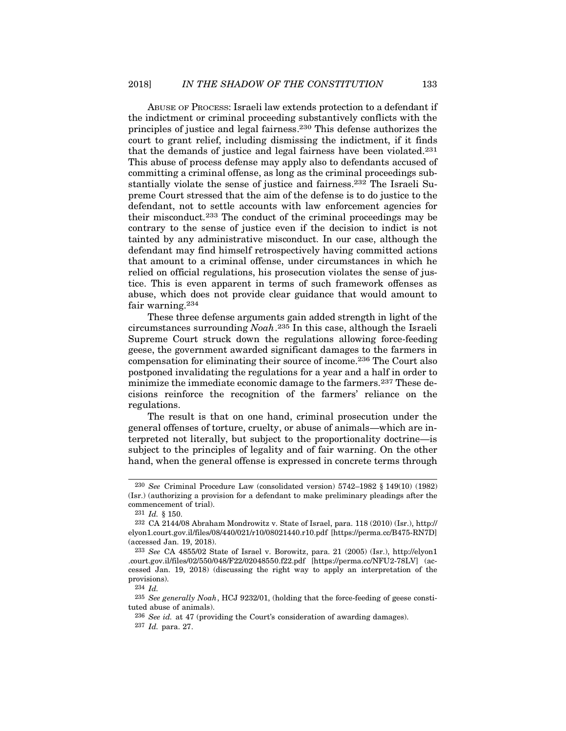$AN THE SHADOW OF THE CONSTITUTION$  133<br>
ABUSE OF PROCESS: Israeli law extends protection to a defendant if<br>
mdictment or criminal proceeding substantively conflicts with the<br>
the sof justice and legal fairness.<sup>230</sup> This defense authorizes the the indictment or criminal proceeding substantively conflicts with the principles of justice and legal fairness.230 This defense authorizes the court to grant relief, including dismissing the indictment, if it finds that the demands of justice and legal fairness have been violated.231 This abuse of process defense may apply also to defendants accused of committing a criminal offense, as long as the criminal proceedings substantially violate the sense of justice and fairness.232 The Israeli Supreme Court stressed that the aim of the defense is to do justice to the defendant, not to settle accounts with law enforcement agencies for their misconduct.233 The conduct of the criminal proceedings may be contrary to the sense of justice even if the decision to indict is not tainted by any administrative misconduct. In our case, although the defendant may find himself retrospectively having committed actions that amount to a criminal offense, under circumstances in which he relied on official regulations, his prosecution violates the sense of justice. This is even apparent in terms of such framework offenses as abuse, which does not provide clear guidance that would amount to fair warning.<sup>234</sup>

These three defense arguments gain added strength in light of the circumstances surrounding Noah.235 In this case, although the Israeli Supreme Court struck down the regulations allowing force-feeding geese, the government awarded significant damages to the farmers in compensation for eliminating their source of income.236 The Court also postponed invalidating the regulations for a year and a half in order to minimize the immediate economic damage to the farmers.<sup>237</sup> These decisions reinforce the recognition of the farmers' reliance on the regulations.

The result is that on one hand, criminal prosecution under the general offenses of torture, cruelty, or abuse of animals—which are interpreted not literally, but subject to the proportionality doctrine—is subject to the principles of legality and of fair warning. On the other hand, when the general offense is expressed in concrete terms through by substrate in mediate economic damage to the farmers.<sup>237</sup> These de-<br>inimize the immediate economic damage to the farmers.<sup>237</sup> These de-<br>sions reinforce the recognition of the farmers' reliance on the<br>eigulations.<br>The egulations.<br>
The result is that on one hand, crim<br>
eneral offenses of torture, cruelty, or abus<br>
erpreted not literally, but subject to the<br>
ubject to the principles of legality and of<br>
and, when the general offense is ex

<sup>(</sup>Isr.) (authorizing a provision for a defendant to make preliminary pleadings after the commencement of trial).

<sup>232</sup> CA 2144/08 Abraham Mondrowitz v. State of Israel, para. 118 (2010) (Isr.), http:// elyon1.court.gov.il/files/08/440/021/r10/08021440.r10.pdf [https://perma.cc/B475-RN7D] (accessed Jan. 19, 2018).

<sup>233</sup> See CA 4855/02 State of Israel v. Borowitz, para. 21 (2005) (Isr.), http://elyon1 .court.gov.il/files/02/550/048/F22/02048550.f22.pdf [https://perma.cc/NFU2-78LV] (accessed Jan. 19, 2018) (discussing the right way to apply an interpretation of the provisions).

<sup>234</sup> Id.

<sup>235</sup> See generally Noah, HCJ 9232/01, (holding that the force-feeding of geese constituted abuse of animals).

<sup>236</sup> See id. at 47 (providing the Court's consideration of awarding damages). 237 Id. para. 27.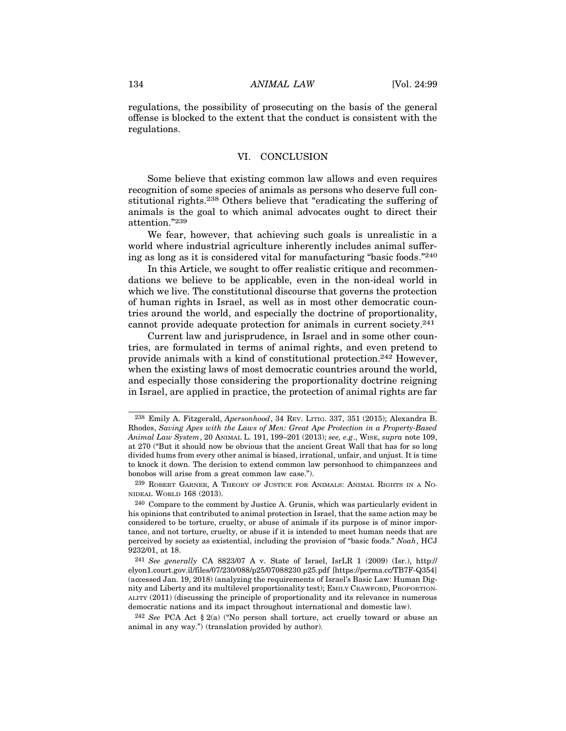134 ANIMAL LAW [Vol. 24:99]<br>
regulations, the possibility of prosecuting on the basis of the general<br>
offense is blocked to the cutent that the conduct is consistent with the regulations, the possibility of prosecuting on the basis of the general offense is blocked to the extent that the conduct is consistent with the regulations. ANIMAL LAW [Vol. 24:99]<br>ty of prosecuting on the basis of the general<br>extent that the conduct is consistent with the<br>VI. CONCLUSION<br>sisting common law allows and even requires

Some believe that existing common law allows and even requires recognition of some species of animals as persons who deserve full constitutional rights.238 Others believe that "eradicating the suffering of animals is the goal to which animal advocates ought to direct their attention."<sup>239</sup>

We fear, however, that achieving such goals is unrealistic in a world where industrial agriculture inherently includes animal suffering as long as it is considered vital for manufacturing "basic foods."240

In this Article, we sought to offer realistic critique and recommendations we believe to be applicable, even in the non-ideal world in which we live. The constitutional discourse that governs the protection of human rights in Israel, as well as in most other democratic countries around the world, and especially the doctrine of proportionality, cannot provide adequate protection for animals in current society.241

Current law and jurisprudence, in Israel and in some other countries, are formulated in terms of animal rights, and even pretend to provide animals with a kind of constitutional protection.242 However, when the existing laws of most democratic countries around the world, and especially those considering the proportionality doctrine reigning in Israel, are applied in practice, the protection of animal rights are far

240 Compare to the comment by Justice A. Grunis, which was particularly evident in his opinions that contributed to animal protection in Israel, that the same action may be considered to be torture, cruelty, or abuse of animals if its purpose is of minor importance, and not torture, cruelty, or abuse if it is intended to meet human needs that are perceived by society as existential, including the provision of "basic foods." Noah, HCJ 9232/01, at 18. DERT GARIVED THEORY OF JUSTICE FOR ANIMALS: ANIMAL RIGHTS IN A NO-<br>
239 ROBERT GARIVER, A THEORY OF JUSTICE FOR ANIMALS: ANIMAL RIGHTS IN A NO-<br>
NIDEAL WORLD 168 (2013).<br>
240 Compare to the comment by Justice A. Grunis, w <sup>240</sup> Compare to the comment by Justice A. Grunis, which was particularly evident in be a opinions that contributed to animal protection in Israel, that the same action may be nsidered to be torture, cruelty, or abuse of

animal in any way.") (translation provided by author).

<sup>238</sup> Emily A. Fitzgerald, Apersonhood, 34 REV. LITIG. 337, 351 (2015); Alexandra B. Rhodes, Saving Apes with the Laws of Men: Great Ape Protection in a Property-Based Animal Law System, 20 ANIMAL L. 191, 199–201 (2013); see, e.g., WISE, supra note 109, at 270 ("But it should now be obvious that the ancient Great Wall that has for so long divided hums from every other animal is biased, irrational, unfair, and unjust. It is time to knock it down. The decision to extend common law personhood to chimpanzees and bonobos will arise from a great common law case."). Well the existing ratws of must denoted at countries around the world,<br>and especially those considering the proportionality doctrine reigning<br>in Israel, are applied in practice, the protection of animal rights are far<br>Rhod

<sup>&</sup>lt;sup>241</sup> See generally CA  $8823/07$  A v. State of Israel, IsrLR 1 (2009) (Isr.), http:// elyon1.court.gov.il/files/07/230/088/p25/07088230.p25.pdf [https://perma.cc/TB7F-Q354] (accessed Jan. 19, 2018) (analyzing the requirements of Israel's Basic Law: Human Digdemocratic nations and its impact throughout international and domestic law).